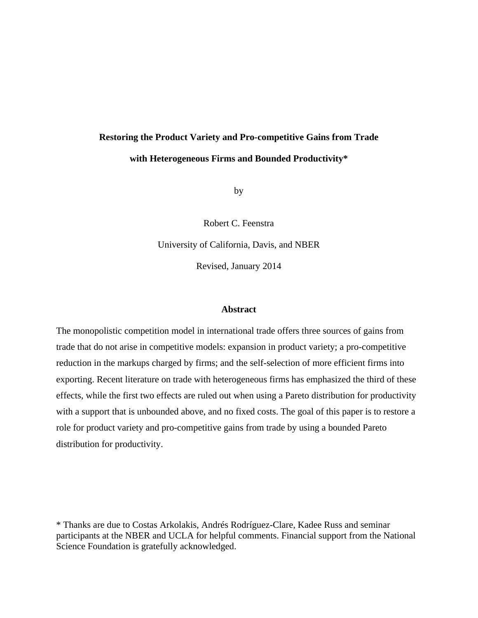# **Restoring the Product Variety and Pro-competitive Gains from Trade with Heterogeneous Firms and Bounded Productivity\***

by

Robert C. Feenstra

University of California, Davis, and NBER

Revised, January 2014

#### **Abstract**

The monopolistic competition model in international trade offers three sources of gains from trade that do not arise in competitive models: expansion in product variety; a pro-competitive reduction in the markups charged by firms; and the self-selection of more efficient firms into exporting. Recent literature on trade with heterogeneous firms has emphasized the third of these effects, while the first two effects are ruled out when using a Pareto distribution for productivity with a support that is unbounded above, and no fixed costs. The goal of this paper is to restore a role for product variety and pro-competitive gains from trade by using a bounded Pareto distribution for productivity.

\* Thanks are due to Costas Arkolakis, Andrés Rodríguez-Clare, Kadee Russ and seminar participants at the NBER and UCLA for helpful comments. Financial support from the National Science Foundation is gratefully acknowledged.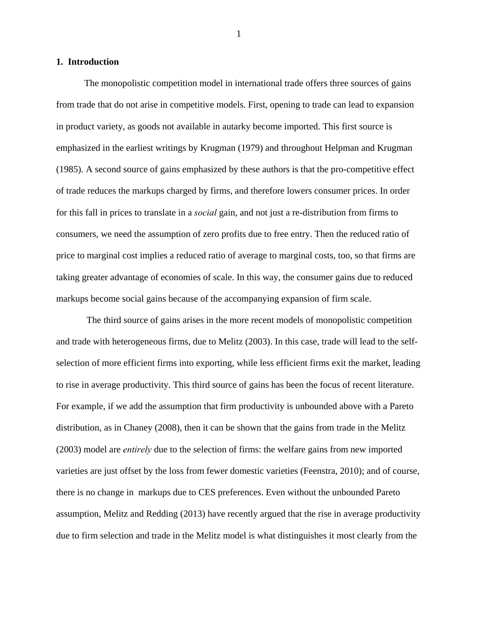#### **1. Introduction**

 The monopolistic competition model in international trade offers three sources of gains from trade that do not arise in competitive models. First, opening to trade can lead to expansion in product variety, as goods not available in autarky become imported. This first source is emphasized in the earliest writings by Krugman (1979) and throughout Helpman and Krugman (1985). A second source of gains emphasized by these authors is that the pro-competitive effect of trade reduces the markups charged by firms, and therefore lowers consumer prices. In order for this fall in prices to translate in a *social* gain, and not just a re-distribution from firms to consumers, we need the assumption of zero profits due to free entry. Then the reduced ratio of price to marginal cost implies a reduced ratio of average to marginal costs, too, so that firms are taking greater advantage of economies of scale. In this way, the consumer gains due to reduced markups become social gains because of the accompanying expansion of firm scale.

 The third source of gains arises in the more recent models of monopolistic competition and trade with heterogeneous firms, due to Melitz (2003). In this case, trade will lead to the selfselection of more efficient firms into exporting, while less efficient firms exit the market, leading to rise in average productivity. This third source of gains has been the focus of recent literature. For example, if we add the assumption that firm productivity is unbounded above with a Pareto distribution, as in Chaney (2008), then it can be shown that the gains from trade in the Melitz (2003) model are *entirely* due to the selection of firms: the welfare gains from new imported varieties are just offset by the loss from fewer domestic varieties (Feenstra, 2010); and of course, there is no change in markups due to CES preferences. Even without the unbounded Pareto assumption, Melitz and Redding (2013) have recently argued that the rise in average productivity due to firm selection and trade in the Melitz model is what distinguishes it most clearly from the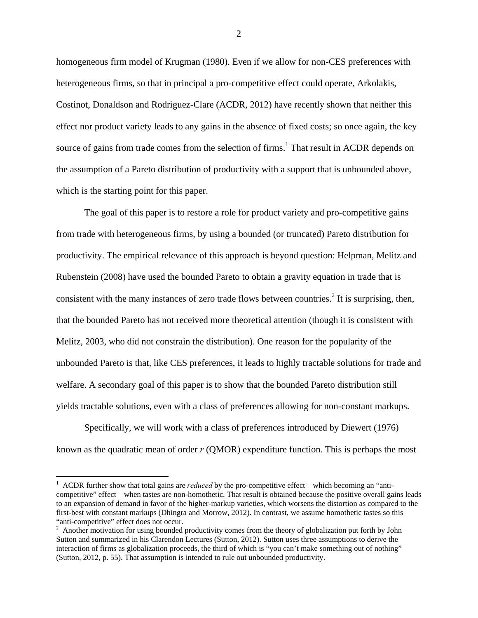homogeneous firm model of Krugman (1980). Even if we allow for non-CES preferences with heterogeneous firms, so that in principal a pro-competitive effect could operate, Arkolakis, Costinot, Donaldson and Rodriguez-Clare (ACDR, 2012) have recently shown that neither this effect nor product variety leads to any gains in the absence of fixed costs; so once again, the key source of gains from trade comes from the selection of firms.<sup>1</sup> That result in ACDR depends on the assumption of a Pareto distribution of productivity with a support that is unbounded above, which is the starting point for this paper.

The goal of this paper is to restore a role for product variety and pro-competitive gains from trade with heterogeneous firms, by using a bounded (or truncated) Pareto distribution for productivity. The empirical relevance of this approach is beyond question: Helpman, Melitz and Rubenstein (2008) have used the bounded Pareto to obtain a gravity equation in trade that is consistent with the many instances of zero trade flows between countries.<sup>2</sup> It is surprising, then, that the bounded Pareto has not received more theoretical attention (though it is consistent with Melitz, 2003, who did not constrain the distribution). One reason for the popularity of the unbounded Pareto is that, like CES preferences, it leads to highly tractable solutions for trade and welfare. A secondary goal of this paper is to show that the bounded Pareto distribution still yields tractable solutions, even with a class of preferences allowing for non-constant markups.

Specifically, we will work with a class of preferences introduced by Diewert (1976) known as the quadratic mean of order *r* (QMOR) expenditure function. This is perhaps the most

 $\overline{a}$ 

<sup>&</sup>lt;sup>1</sup> ACDR further show that total gains are *reduced* by the pro-competitive effect – which becoming an "anticompetitive" effect – when tastes are non-homothetic. That result is obtained because the positive overall gains leads to an expansion of demand in favor of the higher-markup varieties, which worsens the distortion as compared to the first-best with constant markups (Dhingra and Morrow, 2012). In contrast, we assume homothetic tastes so this "anti-competitive" effect does not occur.

<sup>&</sup>lt;sup>2</sup> Another motivation for using bounded productivity comes from the theory of globalization put forth by John Sutton and summarized in his Clarendon Lectures (Sutton, 2012). Sutton uses three assumptions to derive the interaction of firms as globalization proceeds, the third of which is "you can't make something out of nothing" (Sutton, 2012, p. 55). That assumption is intended to rule out unbounded productivity.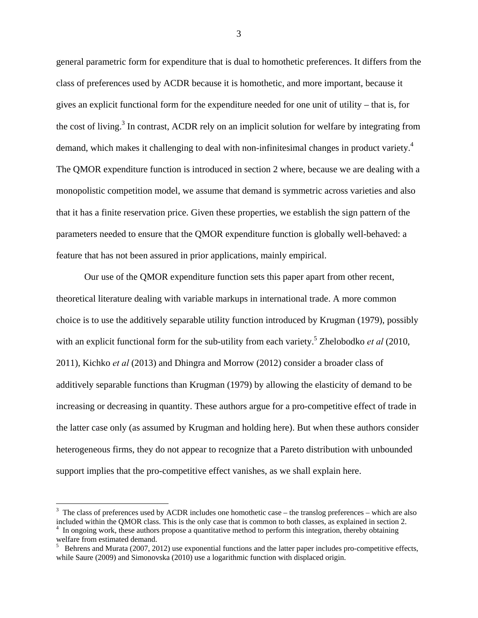general parametric form for expenditure that is dual to homothetic preferences. It differs from the class of preferences used by ACDR because it is homothetic, and more important, because it gives an explicit functional form for the expenditure needed for one unit of utility – that is, for the cost of living.<sup>3</sup> In contrast, ACDR rely on an implicit solution for welfare by integrating from demand, which makes it challenging to deal with non-infinitesimal changes in product variety.<sup>4</sup> The QMOR expenditure function is introduced in section 2 where, because we are dealing with a monopolistic competition model, we assume that demand is symmetric across varieties and also that it has a finite reservation price. Given these properties, we establish the sign pattern of the parameters needed to ensure that the QMOR expenditure function is globally well-behaved: a feature that has not been assured in prior applications, mainly empirical.

Our use of the QMOR expenditure function sets this paper apart from other recent, theoretical literature dealing with variable markups in international trade. A more common choice is to use the additively separable utility function introduced by Krugman (1979), possibly with an explicit functional form for the sub-utility from each variety.<sup>5</sup> Zhelobodko *et al* (2010, 2011), Kichko *et al* (2013) and Dhingra and Morrow (2012) consider a broader class of additively separable functions than Krugman (1979) by allowing the elasticity of demand to be increasing or decreasing in quantity. These authors argue for a pro-competitive effect of trade in the latter case only (as assumed by Krugman and holding here). But when these authors consider heterogeneous firms, they do not appear to recognize that a Pareto distribution with unbounded support implies that the pro-competitive effect vanishes, as we shall explain here.

 $\overline{a}$ 

 $3$  The class of preferences used by ACDR includes one homothetic case – the translog preferences – which are also included within the QMOR class. This is the only case that is common to both classes, as explained in section 2. 4  $\frac{4}{1}$  In ongoing work, these authors propose a quantitative method to perform this integration, thereby obtaining

welfare from estimated demand.

 $5$  Behrens and Murata (2007, 2012) use exponential functions and the latter paper includes pro-competitive effects, while Saure (2009) and Simonovska (2010) use a logarithmic function with displaced origin.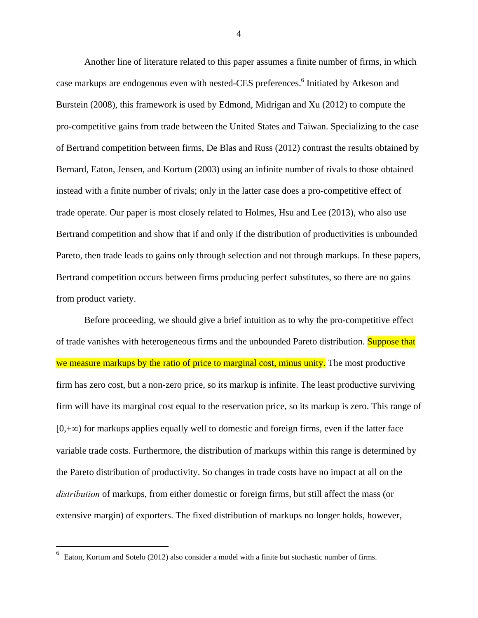Another line of literature related to this paper assumes a finite number of firms, in which case markups are endogenous even with nested-CES preferences.<sup>6</sup> Initiated by Atkeson and Burstein (2008), this framework is used by Edmond, Midrigan and Xu (2012) to compute the pro-competitive gains from trade between the United States and Taiwan. Specializing to the case of Bertrand competition between firms, De Blas and Russ (2012) contrast the results obtained by Bernard, Eaton, Jensen, and Kortum (2003) using an infinite number of rivals to those obtained instead with a finite number of rivals; only in the latter case does a pro-competitive effect of trade operate. Our paper is most closely related to Holmes, Hsu and Lee (2013), who also use Bertrand competition and show that if and only if the distribution of productivities is unbounded Pareto, then trade leads to gains only through selection and not through markups. In these papers, Bertrand competition occurs between firms producing perfect substitutes, so there are no gains from product variety.

Before proceeding, we should give a brief intuition as to why the pro-competitive effect of trade vanishes with heterogeneous firms and the unbounded Pareto distribution. Suppose that we measure markups by the ratio of price to marginal cost, minus unity. The most productive firm has zero cost, but a non-zero price, so its markup is infinite. The least productive surviving firm will have its marginal cost equal to the reservation price, so its markup is zero. This range of  $[0,+\infty)$  for markups applies equally well to domestic and foreign firms, even if the latter face variable trade costs. Furthermore, the distribution of markups within this range is determined by the Pareto distribution of productivity. So changes in trade costs have no impact at all on the *distribution* of markups, from either domestic or foreign firms, but still affect the mass (or extensive margin) of exporters. The fixed distribution of markups no longer holds, however,

<u>.</u>

<sup>6</sup> Eaton, Kortum and Sotelo (2012) also consider a model with a finite but stochastic number of firms.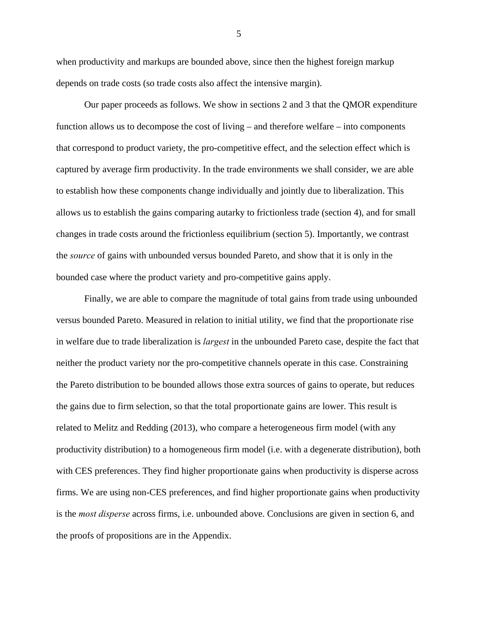when productivity and markups are bounded above, since then the highest foreign markup depends on trade costs (so trade costs also affect the intensive margin).

Our paper proceeds as follows. We show in sections 2 and 3 that the QMOR expenditure function allows us to decompose the cost of living – and therefore welfare – into components that correspond to product variety, the pro-competitive effect, and the selection effect which is captured by average firm productivity. In the trade environments we shall consider, we are able to establish how these components change individually and jointly due to liberalization. This allows us to establish the gains comparing autarky to frictionless trade (section 4), and for small changes in trade costs around the frictionless equilibrium (section 5). Importantly, we contrast the *source* of gains with unbounded versus bounded Pareto, and show that it is only in the bounded case where the product variety and pro-competitive gains apply.

Finally, we are able to compare the magnitude of total gains from trade using unbounded versus bounded Pareto. Measured in relation to initial utility, we find that the proportionate rise in welfare due to trade liberalization is *largest* in the unbounded Pareto case, despite the fact that neither the product variety nor the pro-competitive channels operate in this case. Constraining the Pareto distribution to be bounded allows those extra sources of gains to operate, but reduces the gains due to firm selection, so that the total proportionate gains are lower. This result is related to Melitz and Redding (2013), who compare a heterogeneous firm model (with any productivity distribution) to a homogeneous firm model (i.e. with a degenerate distribution), both with CES preferences. They find higher proportionate gains when productivity is disperse across firms. We are using non-CES preferences, and find higher proportionate gains when productivity is the *most disperse* across firms, i.e. unbounded above. Conclusions are given in section 6, and the proofs of propositions are in the Appendix.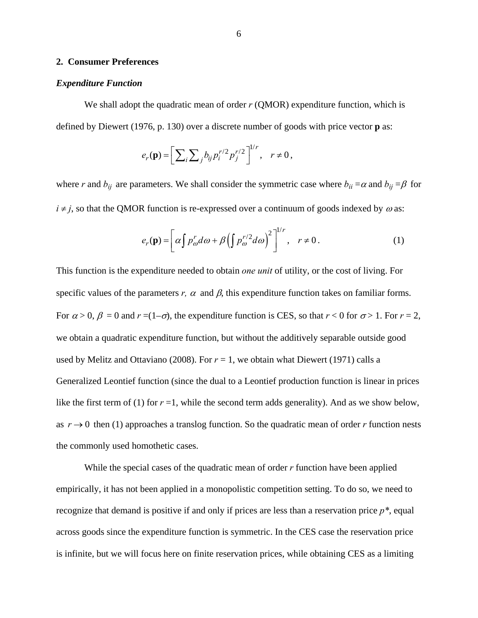#### **2. Consumer Preferences**

#### *Expenditure Function*

We shall adopt the quadratic mean of order *r* (OMOR) expenditure function, which is defined by Diewert (1976, p. 130) over a discrete number of goods with price vector **p** as:

$$
e_r(\mathbf{p}) = \left[ \sum_i \sum_j b_{ij} p_i^{r/2} p_j^{r/2} \right]^{1/r}, \quad r \neq 0,
$$

where *r* and  $b_{ij}$  are parameters. We shall consider the symmetric case where  $b_{ii} = \alpha$  and  $b_{ij} = \beta$  for  $i \neq j$ , so that the QMOR function is re-expressed over a continuum of goods indexed by  $\omega$  as:

$$
e_r(\mathbf{p}) = \left[ \alpha \int p'_\omega d\omega + \beta \left( \int p'^{\prime 2}_\omega d\omega \right)^2 \right]^{1/r}, \quad r \neq 0. \tag{1}
$$

This function is the expenditure needed to obtain *one unit* of utility, or the cost of living. For specific values of the parameters  $r$ ,  $\alpha$  and  $\beta$ , this expenditure function takes on familiar forms. For  $\alpha > 0$ ,  $\beta = 0$  and  $r = (1-\sigma)$ , the expenditure function is CES, so that  $r < 0$  for  $\sigma > 1$ . For  $r = 2$ , we obtain a quadratic expenditure function, but without the additively separable outside good used by Melitz and Ottaviano (2008). For  $r = 1$ , we obtain what Diewert (1971) calls a Generalized Leontief function (since the dual to a Leontief production function is linear in prices like the first term of (1) for  $r = 1$ , while the second term adds generality). And as we show below, as  $r \rightarrow 0$  then (1) approaches a translog function. So the quadratic mean of order *r* function nests the commonly used homothetic cases.

 While the special cases of the quadratic mean of order *r* function have been applied empirically, it has not been applied in a monopolistic competition setting. To do so, we need to recognize that demand is positive if and only if prices are less than a reservation price *p\**, equal across goods since the expenditure function is symmetric. In the CES case the reservation price is infinite, but we will focus here on finite reservation prices, while obtaining CES as a limiting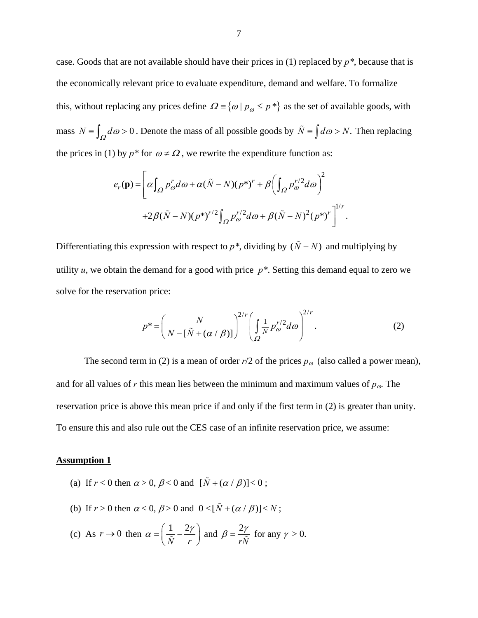case. Goods that are not available should have their prices in (1) replaced by *p\**, because that is the economically relevant price to evaluate expenditure, demand and welfare. To formalize this, without replacing any prices define  $\Omega = \{ \omega \mid p_{\omega} \leq p^* \}$  as the set of available goods, with mass  $N = \int_{\Omega} d\omega > 0$ . Denote the mass of all possible goods by  $\tilde{N} = \int d\omega > N$ . Then replacing the prices in (1) by  $p^*$  for  $\omega \neq \Omega$ , we rewrite the expenditure function as:

$$
e_r(\mathbf{p}) = \left[ \alpha \int_{\Omega} p_{\omega}^r d\omega + \alpha (\tilde{N} - N)(p^*)^r + \beta \left( \int_{\Omega} p_{\omega}^{r/2} d\omega \right)^2 + 2\beta (\tilde{N} - N)(p^*)^{r/2} \int_{\Omega} p_{\omega}^{r/2} d\omega + \beta (\tilde{N} - N)^2 (p^*)^r \right]^{1/r}.
$$

Differentiating this expression with respect to  $p^*$ , dividing by  $(\tilde{N} - N)$  and multiplying by utility  $u$ , we obtain the demand for a good with price  $p^*$ . Setting this demand equal to zero we solve for the reservation price:

$$
p^* = \left(\frac{N}{N - \left[\tilde{N} + \left(\alpha / \beta\right)\right]}\right)^{2/r} \left(\int_{\Omega} \frac{1}{N} p_{\omega}^{r/2} d\omega\right)^{2/r}.\tag{2}
$$

The second term in (2) is a mean of order  $r/2$  of the prices  $p_\omega$  (also called a power mean), and for all values of *r* this mean lies between the minimum and maximum values of  $p_{\omega}$ . The reservation price is above this mean price if and only if the first term in (2) is greater than unity. To ensure this and also rule out the CES case of an infinite reservation price, we assume:

#### **Assumption 1**

- (a) If  $r < 0$  then  $\alpha > 0$ ,  $\beta < 0$  and  $[\tilde{N} + (\alpha / \beta)] < 0$ ;
- (b) If  $r > 0$  then  $\alpha < 0$ ,  $\beta > 0$  and  $0 < [\tilde{N} + (\alpha / \beta)] < N$ ;
- (c) As  $r \to 0$  then  $\alpha = \left(\frac{1}{r} \frac{2}{r}\right)$ *N r*  $\alpha = \left(\frac{1}{\tilde{N}} - \frac{2\gamma}{r}\right)$  and  $\beta = \frac{2\gamma}{r\tilde{N}}$  for any  $\gamma > 0$ .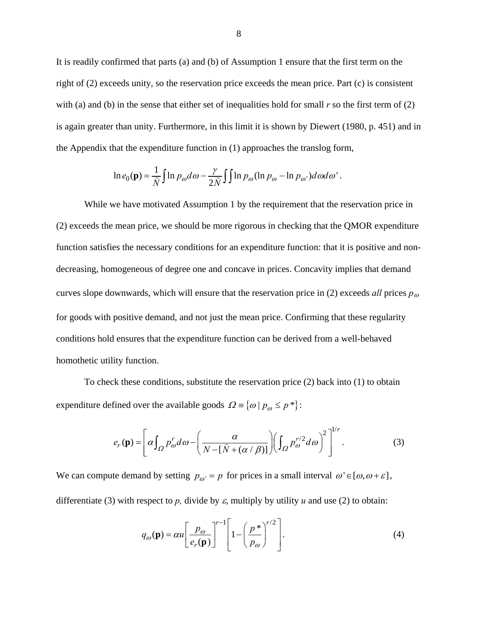It is readily confirmed that parts (a) and (b) of Assumption 1 ensure that the first term on the right of (2) exceeds unity, so the reservation price exceeds the mean price. Part (c) is consistent with (a) and (b) in the sense that either set of inequalities hold for small *r* so the first term of (2) is again greater than unity. Furthermore, in this limit it is shown by Diewert (1980, p. 451) and in the Appendix that the expenditure function in (1) approaches the translog form,

$$
\ln e_0(\mathbf{p}) = \frac{1}{\tilde{N}} \int \ln p_\omega d\omega - \frac{\gamma}{2\tilde{N}} \int \ln p_\omega (\ln p_\omega - \ln p_\omega) d\omega d\omega'.
$$

 While we have motivated Assumption 1 by the requirement that the reservation price in (2) exceeds the mean price, we should be more rigorous in checking that the QMOR expenditure function satisfies the necessary conditions for an expenditure function: that it is positive and nondecreasing, homogeneous of degree one and concave in prices. Concavity implies that demand curves slope downwards, which will ensure that the reservation price in (2) exceeds *all* prices  $p_{\omega}$ for goods with positive demand, and not just the mean price. Confirming that these regularity conditions hold ensures that the expenditure function can be derived from a well-behaved homothetic utility function.

To check these conditions, substitute the reservation price (2) back into (1) to obtain expenditure defined over the available goods  $\Omega = \{ \omega \mid p_{\omega} \le p^* \}$ :

$$
e_r(\mathbf{p}) = \left[ \alpha \int_{\Omega} p_{\omega}^r d\omega - \left( \frac{\alpha}{N - [\tilde{N} + (\alpha/\beta)]} \right) \left( \int_{\Omega} p_{\omega}^{r/2} d\omega \right)^2 \right]^{1/r} . \tag{3}
$$

We can compute demand by setting  $p_{\omega} = p$  for prices in a small interval  $\omega \in [\omega, \omega + \varepsilon]$ , differentiate (3) with respect to *p*, divide by  $\varepsilon$ , multiply by utility *u* and use (2) to obtain:

$$
q_{\omega}(\mathbf{p}) = \alpha u \left[ \frac{p_{\omega}}{e_r(\mathbf{p})} \right]^{r-1} \left[ 1 - \left( \frac{p^*}{p_{\omega}} \right)^{r/2} \right]. \tag{4}
$$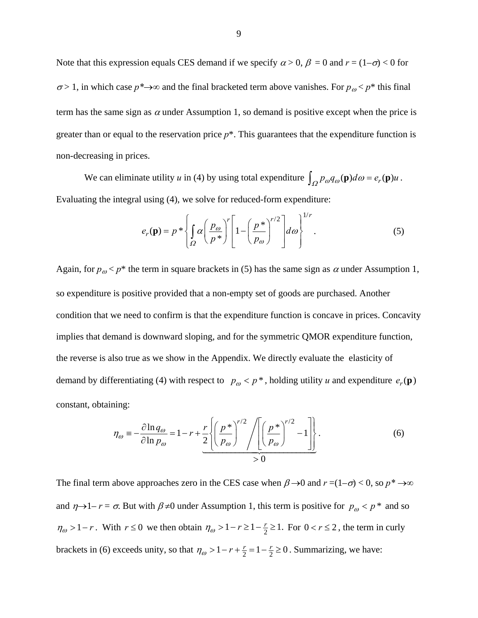Note that this expression equals CES demand if we specify  $\alpha > 0$ ,  $\beta = 0$  and  $r = (1-\sigma) < 0$  for  $\sigma$  > 1, in which case  $p^* \rightarrow \infty$  and the final bracketed term above vanishes. For  $p_{\omega} < p^*$  this final term has the same sign as  $\alpha$  under Assumption 1, so demand is positive except when the price is greater than or equal to the reservation price  $p^*$ . This guarantees that the expenditure function is non-decreasing in prices.

We can eliminate utility *u* in (4) by using total expenditure  $\int_{\Omega} p_{\omega} q_{\omega}(\mathbf{p}) d\omega = e_r(\mathbf{p}) u$ . Evaluating the integral using (4), we solve for reduced-form expenditure:

$$
e_r(\mathbf{p}) = p * \left\{ \int_{\Omega} \alpha \left( \frac{p_{\omega}}{p^*} \right)^r \left[ 1 - \left( \frac{p^*}{p_{\omega}} \right)^{r/2} \right] d\omega \right\}^{1/r} . \tag{5}
$$

Again, for  $p_{\omega}$  <  $p^*$  the term in square brackets in (5) has the same sign as  $\alpha$  under Assumption 1, so expenditure is positive provided that a non-empty set of goods are purchased. Another condition that we need to confirm is that the expenditure function is concave in prices. Concavity implies that demand is downward sloping, and for the symmetric QMOR expenditure function, the reverse is also true as we show in the Appendix. We directly evaluate the elasticity of demand by differentiating (4) with respect to  $p_{\omega} < p^*$ , holding utility *u* and expenditure  $e_r(\mathbf{p})$ constant, obtaining:

$$
\eta_{\omega} \equiv -\frac{\partial \ln q_{\omega}}{\partial \ln p_{\omega}} = 1 - r + \frac{r}{2} \left\{ \left( \frac{p^*}{p_{\omega}} \right)^{r/2} / \left[ \left( \frac{p^*}{p_{\omega}} \right)^{r/2} - 1 \right] \right\}.
$$
 (6)

The final term above approaches zero in the CES case when  $\beta \rightarrow 0$  and  $r = (1-\sigma) < 0$ , so  $p^* \rightarrow \infty$ and  $\eta \rightarrow 1 - r = \sigma$ . But with  $\beta \neq 0$  under Assumption 1, this term is positive for  $p_{\omega} < p^*$  and so  $\eta_{\omega} > 1 - r$ . With  $r \le 0$  we then obtain  $\eta_{\omega} > 1 - r \ge 1 - \frac{r}{2} \ge 1$ . For  $0 < r \le 2$ , the term in curly brackets in (6) exceeds unity, so that  $\eta_{\omega} > 1 - r + \frac{r}{2} = 1 - \frac{r}{2} \ge 0$ . Summarizing, we have: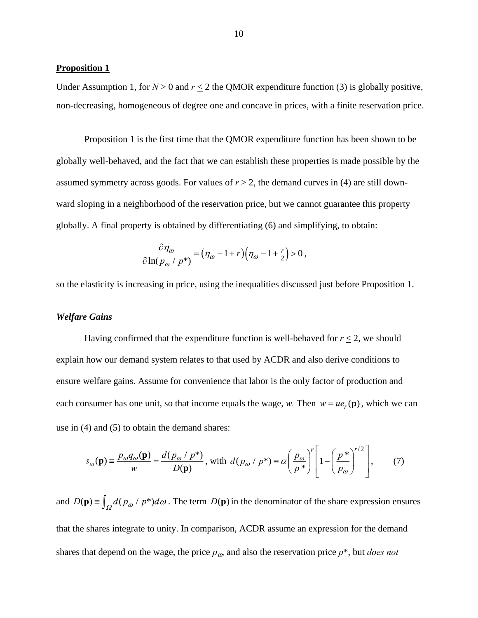#### **Proposition 1**

Under Assumption 1, for  $N > 0$  and  $r \le 2$  the QMOR expenditure function (3) is globally positive, non-decreasing, homogeneous of degree one and concave in prices, with a finite reservation price.

Proposition 1 is the first time that the QMOR expenditure function has been shown to be globally well-behaved, and the fact that we can establish these properties is made possible by the assumed symmetry across goods. For values of  $r > 2$ , the demand curves in (4) are still downward sloping in a neighborhood of the reservation price, but we cannot guarantee this property globally. A final property is obtained by differentiating (6) and simplifying, to obtain:

$$
\frac{\partial \eta_{\omega}}{\partial \ln(p_{\omega}/p^*)} = (\eta_{\omega} - 1 + r)(\eta_{\omega} - 1 + \frac{r}{2}) > 0,
$$

so the elasticity is increasing in price, using the inequalities discussed just before Proposition 1.

## *Welfare Gains*

Having confirmed that the expenditure function is well-behaved for  $r \leq 2$ , we should explain how our demand system relates to that used by ACDR and also derive conditions to ensure welfare gains. Assume for convenience that labor is the only factor of production and each consumer has one unit, so that income equals the wage, *w*. Then  $w = ue_r(\mathbf{p})$ , which we can use in (4) and (5) to obtain the demand shares:

$$
s_{\omega}(\mathbf{p}) = \frac{p_{\omega}q_{\omega}(\mathbf{p})}{w} = \frac{d(p_{\omega} / p^{*})}{D(\mathbf{p})}, \text{ with } d(p_{\omega} / p^{*}) = \alpha \left(\frac{p_{\omega}}{p^{*}}\right)^{r} \left[1 - \left(\frac{p^{*}}{p_{\omega}}\right)^{r/2}\right],\tag{7}
$$

and  $D(\mathbf{p}) = \int_{\Omega} d(p_{\omega} / p^*) d\omega$ . The term  $D(\mathbf{p})$  in the denominator of the share expression ensures that the shares integrate to unity. In comparison, ACDR assume an expression for the demand shares that depend on the wage, the price  $p_{\omega}$  and also the reservation price  $p^*$ , but *does not*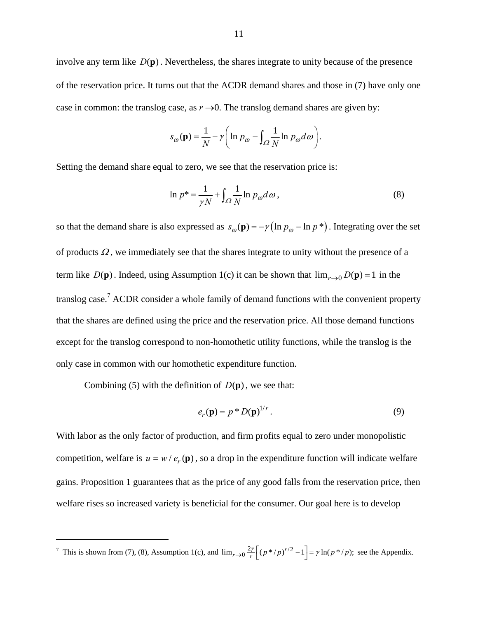involve any term like  $D(\mathbf{p})$ . Nevertheless, the shares integrate to unity because of the presence of the reservation price. It turns out that the ACDR demand shares and those in (7) have only one case in common: the translog case, as  $r \rightarrow 0$ . The translog demand shares are given by:

$$
s_{\omega}(\mathbf{p}) = \frac{1}{N} - \gamma \bigg( \ln p_{\omega} - \int_{\Omega} \frac{1}{N} \ln p_{\omega} d\omega \bigg).
$$

Setting the demand share equal to zero, we see that the reservation price is:

$$
\ln p^* = \frac{1}{\gamma N} + \int_{\Omega} \frac{1}{N} \ln p_{\omega} d\omega, \qquad (8)
$$

so that the demand share is also expressed as  $s_{\omega}(\mathbf{p}) = -\gamma (\ln p_{\omega} - \ln p^*)$ . Integrating over the set of products  $\Omega$ , we immediately see that the shares integrate to unity without the presence of a term like  $D(\mathbf{p})$ . Indeed, using Assumption 1(c) it can be shown that  $\lim_{r\to 0} D(\mathbf{p}) = 1$  in the translog case.<sup>7</sup> ACDR consider a whole family of demand functions with the convenient property that the shares are defined using the price and the reservation price. All those demand functions except for the translog correspond to non-homothetic utility functions, while the translog is the only case in common with our homothetic expenditure function.

Combining (5) with the definition of  $D(\mathbf{p})$ , we see that:

 $\overline{a}$ 

$$
e_r(\mathbf{p}) = p^* D(\mathbf{p})^{1/r}.
$$
 (9)

With labor as the only factor of production, and firm profits equal to zero under monopolistic competition, welfare is  $u = w / e_r(\mathbf{p})$ , so a drop in the expenditure function will indicate welfare gains. Proposition 1 guarantees that as the price of any good falls from the reservation price, then welfare rises so increased variety is beneficial for the consumer. Our goal here is to develop

<sup>&</sup>lt;sup>7</sup> This is shown from (7), (8), Assumption 1(c), and  $\lim_{r\to 0} \frac{2r}{r} \left[ (p^*/p)^{r/2} - 1 \right] = \gamma \ln(p^*/p)$ ; see the Appendix.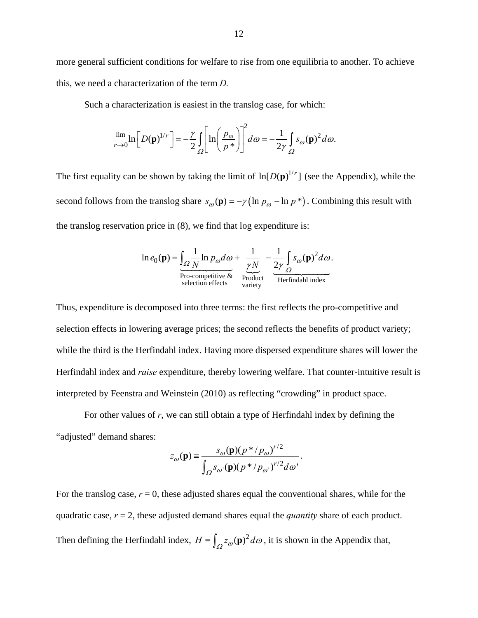more general sufficient conditions for welfare to rise from one equilibria to another. To achieve this, we need a characterization of the term *D.* 

Such a characterization is easiest in the translog case, for which:

$$
\lim_{r \to 0} \ln \left[ D(\mathbf{p})^{1/r} \right] = -\frac{\gamma}{2} \int_{\Omega} \left[ \ln \left( \frac{p_{\omega}}{p^*} \right) \right]^2 d\omega = -\frac{1}{2\gamma} \int_{\Omega} s_{\omega}(\mathbf{p})^2 d\omega.
$$

The first equality can be shown by taking the limit of  $\ln[D(\mathbf{p})^{1/r}]$  (see the Appendix), while the second follows from the translog share  $s_{\omega}(\mathbf{p}) = -\gamma \left( \ln p_{\omega} - \ln p^* \right)$ . Combining this result with the translog reservation price in (8), we find that log expenditure is:

$$
\ln e_0(\mathbf{p}) = \underbrace{\int_{\Omega} \frac{1}{N} \ln p_{\omega} d\omega}_{\text{Pro-competitive & R}{\text{reduction effects}}} + \underbrace{\frac{1}{\gamma N}}_{\text{Product}} - \underbrace{\frac{1}{2\gamma} \int_{\Omega} s_{\omega}(\mathbf{p})^2 d\omega}_{\text{Herfindahl index}}.
$$

Thus, expenditure is decomposed into three terms: the first reflects the pro-competitive and selection effects in lowering average prices; the second reflects the benefits of product variety; while the third is the Herfindahl index. Having more dispersed expenditure shares will lower the Herfindahl index and *raise* expenditure, thereby lowering welfare. That counter-intuitive result is interpreted by Feenstra and Weinstein (2010) as reflecting "crowding" in product space.

 For other values of *r*, we can still obtain a type of Herfindahl index by defining the "adjusted" demand shares:

$$
z_{\omega}(\mathbf{p}) = \frac{s_{\omega}(\mathbf{p})(p * / p_{\omega})^{r/2}}{\int_{\Omega} s_{\omega}(\mathbf{p})(p * / p_{\omega})^{r/2} d\omega}.
$$

For the translog case,  $r = 0$ , these adjusted shares equal the conventional shares, while for the quadratic case, *r* = 2, these adjusted demand shares equal the *quantity* share of each product. Then defining the Herfindahl index,  $H = \int_{Q} z_{\omega}(\mathbf{p})^2 d\omega$ , it is shown in the Appendix that,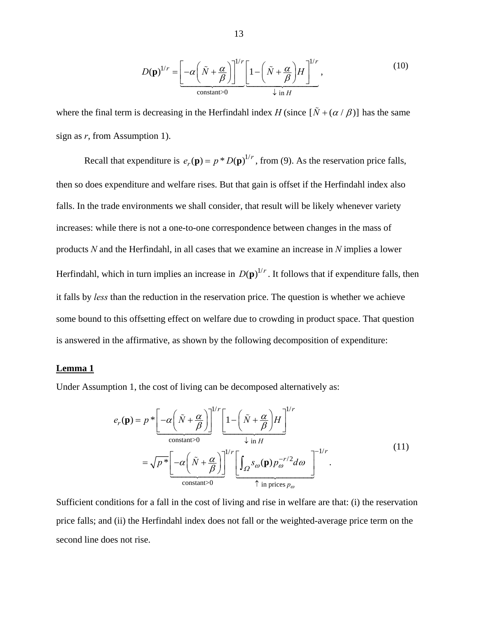$$
D(\mathbf{p})^{1/r} = \underbrace{\left[-\alpha \left(\tilde{N} + \frac{\alpha}{\beta}\right)\right]^{1/r} \left[1 - \left(\tilde{N} + \frac{\alpha}{\beta}\right)H\right]^{1/r}}_{\text{constant} > 0},\tag{10}
$$

where the final term is decreasing in the Herfindahl index *H* (since  $[\tilde{N} + (\alpha/\beta)]$  has the same sign as *r*, from Assumption 1).

Recall that expenditure is  $e_r(\mathbf{p}) = p * D(\mathbf{p})^{1/r}$ , from (9). As the reservation price falls, then so does expenditure and welfare rises. But that gain is offset if the Herfindahl index also falls. In the trade environments we shall consider, that result will be likely whenever variety increases: while there is not a one-to-one correspondence between changes in the mass of products *N* and the Herfindahl, in all cases that we examine an increase in *N* implies a lower Herfindahl, which in turn implies an increase in  $D(p)^{1/r}$ . It follows that if expenditure falls, then it falls by *less* than the reduction in the reservation price. The question is whether we achieve some bound to this offsetting effect on welfare due to crowding in product space. That question is answered in the affirmative, as shown by the following decomposition of expenditure:

#### **Lemma 1**

Under Assumption 1, the cost of living can be decomposed alternatively as:

$$
e_r(\mathbf{p}) = p * \left[ -\alpha \left( \tilde{N} + \frac{\alpha}{\beta} \right) \right]^{1/r} \left[ 1 - \left( \tilde{N} + \frac{\alpha}{\beta} \right) H \right]^{1/r}
$$
  
\n
$$
= \sqrt{p *} \left[ -\alpha \left( \tilde{N} + \frac{\alpha}{\beta} \right) \right]^{1/r} \left[ \int_{\Omega} s_{\omega}(\mathbf{p}) p_{\omega}^{-r/2} d\omega \right]^{-1/r} .
$$
\n(11)  
\n
$$
\left[ \frac{\alpha}{\text{constant}} \right]^{1/r} \left[ \frac{\alpha}{\alpha} \left( \tilde{N} + \frac{\alpha}{\beta} \right) \right]^{1/r} \left[ \frac{\alpha}{\alpha} \right]^{1/r} \left[ \frac{\alpha}{\alpha} \right]^{1/r} .
$$

Sufficient conditions for a fall in the cost of living and rise in welfare are that: (i) the reservation price falls; and (ii) the Herfindahl index does not fall or the weighted-average price term on the second line does not rise.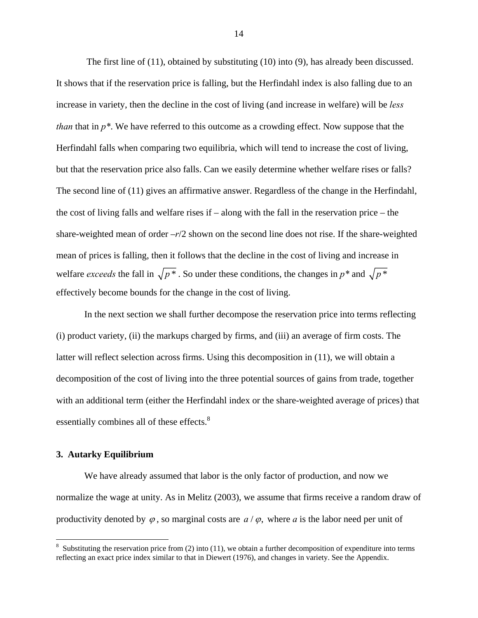The first line of (11), obtained by substituting (10) into (9), has already been discussed. It shows that if the reservation price is falling, but the Herfindahl index is also falling due to an increase in variety, then the decline in the cost of living (and increase in welfare) will be *less than* that in *p\**. We have referred to this outcome as a crowding effect. Now suppose that the Herfindahl falls when comparing two equilibria, which will tend to increase the cost of living, but that the reservation price also falls. Can we easily determine whether welfare rises or falls? The second line of (11) gives an affirmative answer. Regardless of the change in the Herfindahl, the cost of living falls and welfare rises if – along with the fall in the reservation price – the share-weighted mean of order –*r*/2 shown on the second line does not rise. If the share-weighted mean of prices is falling, then it follows that the decline in the cost of living and increase in welfare *exceeds* the fall in  $\sqrt{p^*}$ . So under these conditions, the changes in  $p^*$  and  $\sqrt{p^*}$ effectively become bounds for the change in the cost of living.

In the next section we shall further decompose the reservation price into terms reflecting (i) product variety, (ii) the markups charged by firms, and (iii) an average of firm costs. The latter will reflect selection across firms. Using this decomposition in (11), we will obtain a decomposition of the cost of living into the three potential sources of gains from trade, together with an additional term (either the Herfindahl index or the share-weighted average of prices) that essentially combines all of these effects.<sup>8</sup>

## **3. Autarky Equilibrium**

 We have already assumed that labor is the only factor of production, and now we normalize the wage at unity. As in Melitz (2003), we assume that firms receive a random draw of productivity denoted by  $\varphi$ , so marginal costs are  $a/\varphi$ , where a is the labor need per unit of

<sup>&</sup>lt;sup>8</sup> Substituting the reservation price from (2) into (11), we obtain a further decomposition of expenditure into terms reflecting an exact price index similar to that in Diewert (1976), and changes in variety. See the Appendix.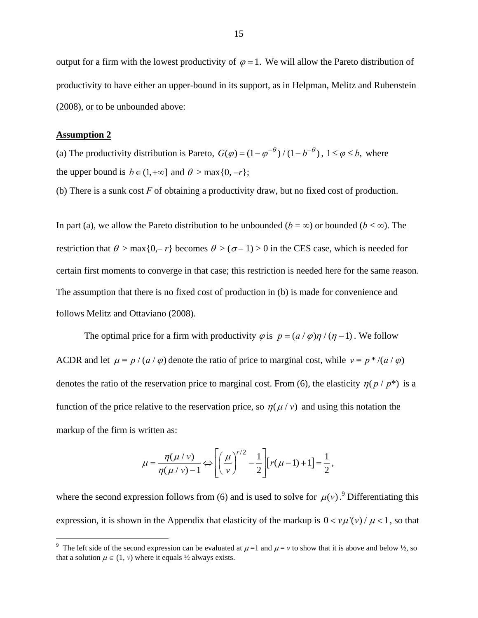output for a firm with the lowest productivity of  $\varphi = 1$ . We will allow the Pareto distribution of productivity to have either an upper-bound in its support, as in Helpman, Melitz and Rubenstein (2008), or to be unbounded above:

### **Assumption 2**

1

(a) The productivity distribution is Pareto,  $G(\varphi) = (1 - \varphi^{-\theta})/(1 - b^{-\theta})$ ,  $1 \le \varphi \le b$ , where the upper bound is  $b \in (1, +\infty]$  and  $\theta > \max\{0, -r\}$ ;

(b) There is a sunk cost *F* of obtaining a productivity draw, but no fixed cost of production.

In part (a), we allow the Pareto distribution to be unbounded ( $b = \infty$ ) or bounded ( $b < \infty$ ). The restriction that  $\theta > \max\{0, -r\}$  becomes  $\theta > (\sigma - 1) > 0$  in the CES case, which is needed for certain first moments to converge in that case; this restriction is needed here for the same reason. The assumption that there is no fixed cost of production in (b) is made for convenience and follows Melitz and Ottaviano (2008).

The optimal price for a firm with productivity  $\varphi$  is  $p = (a / \varphi)\eta / (\eta - 1)$ . We follow ACDR and let  $\mu = p/(a/\varphi)$  denote the ratio of price to marginal cost, while  $v = p*/(a/\varphi)$ denotes the ratio of the reservation price to marginal cost. From (6), the elasticity  $\eta(p / p^*)$  is a function of the price relative to the reservation price, so  $\eta(\mu/\nu)$  and using this notation the markup of the firm is written as:

$$
\mu = \frac{\eta(\mu/v)}{\eta(\mu/v) - 1} \Leftrightarrow \left[ \left( \frac{\mu}{v} \right)^{r/2} - \frac{1}{2} \right] [r(\mu - 1) + 1] = \frac{1}{2},
$$

where the second expression follows from (6) and is used to solve for  $\mu(\nu)$ .<sup>9</sup> Differentiating this expression, it is shown in the Appendix that elasticity of the markup is  $0 < v \mu'(v) / \mu < 1$ , so that

<sup>&</sup>lt;sup>9</sup> The left side of the second expression can be evaluated at  $\mu = 1$  and  $\mu = v$  to show that it is above and below  $\frac{1}{2}$ , so that a solution  $\mu \in (1, v)$  where it equals  $\frac{1}{2}$  always exists.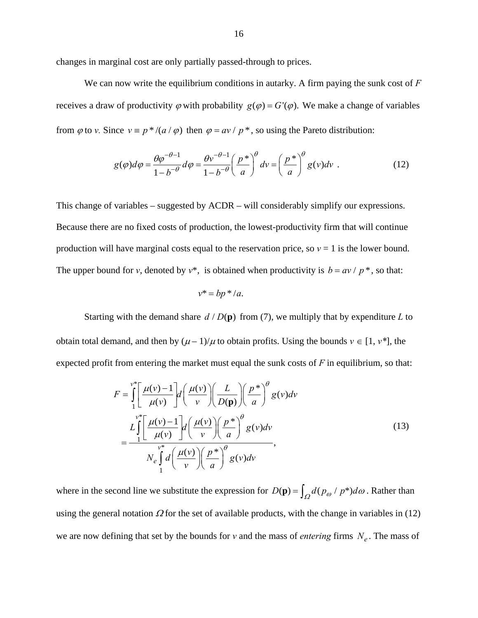changes in marginal cost are only partially passed-through to prices.

 We can now write the equilibrium conditions in autarky. A firm paying the sunk cost of *F* receives a draw of productivity  $\varphi$  with probability  $g(\varphi) = G'(\varphi)$ . We make a change of variables from  $\varphi$  to *v*. Since  $v = p^*/(a/\varphi)$  then  $\varphi = av/p^*$ , so using the Pareto distribution:

$$
g(\varphi)d\varphi = \frac{\theta\varphi^{-\theta-1}}{1-b^{-\theta}}d\varphi = \frac{\theta v^{-\theta-1}}{1-b^{-\theta}}\left(\frac{p^*}{a}\right)^{\theta}dv = \left(\frac{p^*}{a}\right)^{\theta}g(v)dv
$$
 (12)

This change of variables – suggested by ACDR – will considerably simplify our expressions. Because there are no fixed costs of production, the lowest-productivity firm that will continue production will have marginal costs equal to the reservation price, so  $v = 1$  is the lower bound. The upper bound for *v*, denoted by  $v^*$ , is obtained when productivity is  $b = av / p^*$ , so that:

$$
v^* = bp^*/a.
$$

Starting with the demand share  $d/D(p)$  from (7), we multiply that by expenditure L to obtain total demand, and then by  $(\mu - 1)/\mu$  to obtain profits. Using the bounds  $v \in [1, v^*]$ , the expected profit from entering the market must equal the sunk costs of *F* in equilibrium, so that:

$$
F = \int_{1}^{v^*} \left[ \frac{\mu(v) - 1}{\mu(v)} \right] d\left( \frac{\mu(v)}{v} \right) \left( \frac{L}{D(\mathbf{p})} \right) \left( \frac{p^*}{a} \right)^{\theta} g(v) dv
$$
  

$$
= \frac{L \int_{1}^{v^*} \left[ \frac{\mu(v) - 1}{\mu(v)} \right] d\left( \frac{\mu(v)}{v} \right) \left( \frac{p^*}{a} \right)^{\theta} g(v) dv}{N_e \int_{1}^{v^*} d\left( \frac{\mu(v)}{v} \right) \left( \frac{p^*}{a} \right)^{\theta} g(v) dv},
$$
(13)

where in the second line we substitute the expression for  $D(\mathbf{p}) = \int_{\Omega} d(p_{\omega} / p^*) d\omega$ . Rather than using the general notation  $\Omega$  for the set of available products, with the change in variables in (12) we are now defining that set by the bounds for *v* and the mass of *entering* firms  $N_e$ . The mass of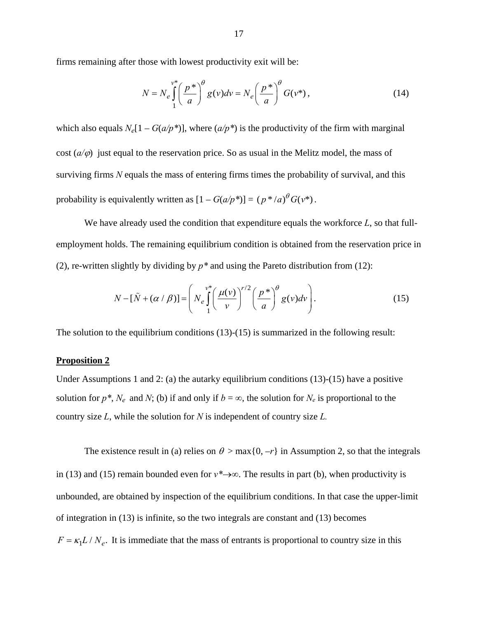firms remaining after those with lowest productivity exit will be:

$$
N = N_e \int_{1}^{v^*} \left(\frac{p^*}{a}\right)^{\theta} g(v) dv = N_e \left(\frac{p^*}{a}\right)^{\theta} G(v^*), \tag{14}
$$

which also equals  $N_e[1 - G(a/p^*)]$ , where  $(a/p^*)$  is the productivity of the firm with marginal cost  $(a/\varphi)$  just equal to the reservation price. So as usual in the Melitz model, the mass of surviving firms *N* equals the mass of entering firms times the probability of survival, and this probability is equivalently written as  $[1 - G(a/p^*)] = (p^*/a)^{\theta} G(v^*)$ .

We have already used the condition that expenditure equals the workforce *L*, so that fullemployment holds. The remaining equilibrium condition is obtained from the reservation price in (2), re-written slightly by dividing by  $p^*$  and using the Pareto distribution from (12):

$$
N - [\tilde{N} + (\alpha / \beta)] = \left( N_e \int_1^{v^*} \left( \frac{\mu(v)}{v} \right)^{r/2} \left( \frac{p^*}{a} \right)^{\theta} g(v) dv \right).
$$
 (15)

The solution to the equilibrium conditions (13)-(15) is summarized in the following result:

### **Proposition 2**

Under Assumptions 1 and 2: (a) the autarky equilibrium conditions  $(13)-(15)$  have a positive solution for  $p^*$ ,  $N_e$  and  $N$ ; (b) if and only if  $b = \infty$ , the solution for  $N_e$  is proportional to the country size *L*, while the solution for *N* is independent of country size *L.* 

The existence result in (a) relies on  $\theta > \max\{0, -r\}$  in Assumption 2, so that the integrals in (13) and (15) remain bounded even for  $v^* \rightarrow \infty$ . The results in part (b), when productivity is unbounded, are obtained by inspection of the equilibrium conditions. In that case the upper-limit of integration in (13) is infinite, so the two integrals are constant and (13) becomes  $F = \kappa_1 L / N_e$ . It is immediate that the mass of entrants is proportional to country size in this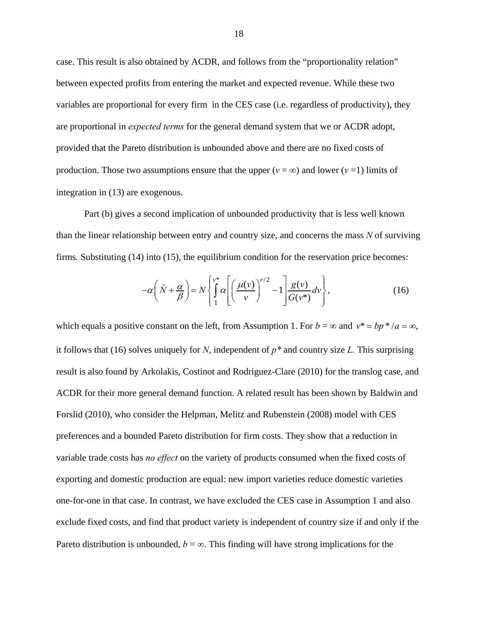case. This result is also obtained by ACDR, and follows from the "proportionality relation" between expected profits from entering the market and expected revenue. While these two variables are proportional for every firm in the CES case (i.e. regardless of productivity), they are proportional in *expected terms* for the general demand system that we or ACDR adopt, provided that the Pareto distribution is unbounded above and there are no fixed costs of production. Those two assumptions ensure that the upper ( $v = \infty$ ) and lower ( $v = 1$ ) limits of integration in (13) are exogenous.

Part (b) gives a second implication of unbounded productivity that is less well known than the linear relationship between entry and country size, and concerns the mass *N* of surviving firms. Substituting (14) into (15), the equilibrium condition for the reservation price becomes:

$$
-\alpha \left(\tilde{N} + \frac{\alpha}{\beta}\right) = N \left\{ \int_{1}^{v^*} \alpha \left[ \left(\frac{\mu(v)}{v}\right)^{r/2} - 1 \right] \frac{g(v)}{G(v^*)} dv \right\},\tag{16}
$$

which equals a positive constant on the left, from Assumption 1. For  $b = \infty$  and  $v^* = bp^* / a = \infty$ , it follows that (16) solves uniquely for *N*, independent of *p\** and country size *L.* This surprising result is also found by Arkolakis, Costinot and Rodriguez-Clare (2010) for the translog case, and ACDR for their more general demand function. A related result has been shown by Baldwin and Forslid (2010), who consider the Helpman, Melitz and Rubenstein (2008) model with CES preferences and a bounded Pareto distribution for firm costs. They show that a reduction in variable trade costs has *no effect* on the variety of products consumed when the fixed costs of exporting and domestic production are equal: new import varieties reduce domestic varieties one-for-one in that case. In contrast, we have excluded the CES case in Assumption 1 and also exclude fixed costs, and find that product variety is independent of country size if and only if the Pareto distribution is unbounded,  $b = \infty$ . This finding will have strong implications for the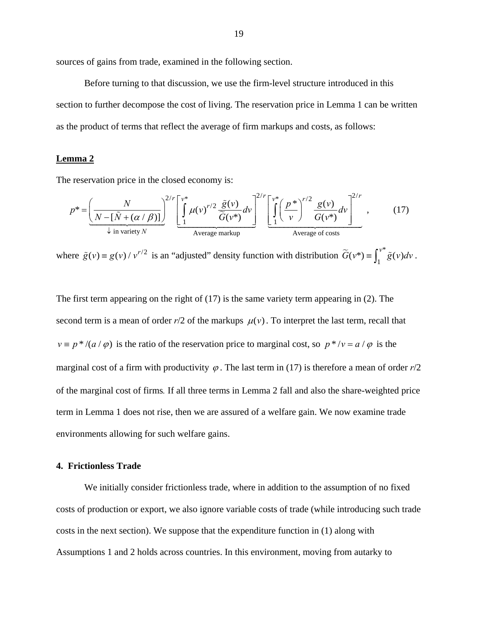sources of gains from trade, examined in the following section.

 Before turning to that discussion, we use the firm-level structure introduced in this section to further decompose the cost of living. The reservation price in Lemma 1 can be written as the product of terms that reflect the average of firm markups and costs, as follows:

# **Lemma 2**

The reservation price in the closed economy is:

$$
p^* = \underbrace{\left(\frac{N}{N - [\tilde{N} + (\alpha/\beta)]}\right)^{2/r} \left[\int_{1}^{v^*} \mu(v)^{r/2} \frac{\tilde{g}(v)}{\tilde{G}(v^*)} dv\right]^{2/r} \left[\int_{1}^{v^*} \left(\frac{p^*}{v}\right)^{r/2} \frac{g(v)}{G(v^*)} dv\right]^{2/r}}_{\text{Average markup}} ,\qquad(17)
$$

where  $\tilde{g}(v) = g(v) / v^{r/2}$  is an "adjusted" density function with distribution  $\tilde{G}(v^*) = \int_1^{v^*} \tilde{g}(v) dv$ .

The first term appearing on the right of (17) is the same variety term appearing in (2). The second term is a mean of order  $r/2$  of the markups  $\mu(v)$ . To interpret the last term, recall that  $v \equiv p^*/(a/\varphi)$  is the ratio of the reservation price to marginal cost, so  $p^*/v = a/\varphi$  is the marginal cost of a firm with productivity  $\varphi$ . The last term in (17) is therefore a mean of order  $r/2$ of the marginal cost of firms*.* If all three terms in Lemma 2 fall and also the share-weighted price term in Lemma 1 does not rise, then we are assured of a welfare gain. We now examine trade environments allowing for such welfare gains.

### **4. Frictionless Trade**

We initially consider frictionless trade, where in addition to the assumption of no fixed costs of production or export, we also ignore variable costs of trade (while introducing such trade costs in the next section). We suppose that the expenditure function in (1) along with Assumptions 1 and 2 holds across countries. In this environment, moving from autarky to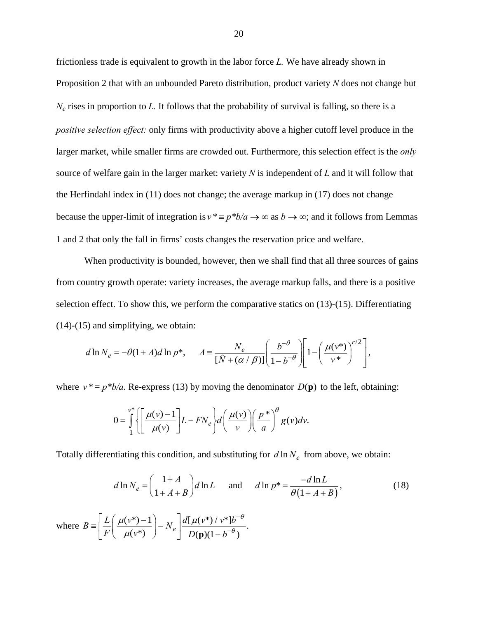frictionless trade is equivalent to growth in the labor force *L.* We have already shown in Proposition 2 that with an unbounded Pareto distribution, product variety *N* does not change but *Ne* rises in proportion to *L.* It follows that the probability of survival is falling, so there is a *positive selection effect:* only firms with productivity above a higher cutoff level produce in the larger market, while smaller firms are crowded out. Furthermore, this selection effect is the *only* source of welfare gain in the larger market: variety *N* is independent of *L* and it will follow that the Herfindahl index in (11) does not change; the average markup in (17) does not change because the upper-limit of integration is  $v^* \equiv p^*b/a \rightarrow \infty$  as  $b \rightarrow \infty$ ; and it follows from Lemmas 1 and 2 that only the fall in firms' costs changes the reservation price and welfare.

When productivity is bounded, however, then we shall find that all three sources of gains from country growth operate: variety increases, the average markup falls, and there is a positive selection effect. To show this, we perform the comparative statics on (13)-(15). Differentiating (14)-(15) and simplifying, we obtain:

$$
d\ln N_e = -\theta(1+A)d\ln p^*, \quad A \equiv \frac{N_e}{[\tilde{N} + (\alpha/\beta)]} \left(\frac{b^{-\theta}}{1-b^{-\theta}}\right) \left[1 - \left(\frac{\mu(\nu^*)}{\nu^*}\right)^{r/2}\right],
$$

where  $v^* = p^*b/a$ . Re-express (13) by moving the denominator  $D(\mathbf{p})$  to the left, obtaining:

$$
0 = \int_{1}^{v^*} \left\{ \left[ \frac{\mu(v) - 1}{\mu(v)} \right] L - F N_e \right\} d\left( \frac{\mu(v)}{v} \right) \left( \frac{p^*}{a} \right)^{\theta} g(v) dv.
$$

Totally differentiating this condition, and substituting for  $d \ln N_e$  from above, we obtain:

$$
d\ln N_e = \left(\frac{1+A}{1+A+B}\right) d\ln L \quad \text{and} \quad d\ln p^* = \frac{-d\ln L}{\theta(1+A+B)},
$$
\n
$$
\text{where } B \equiv \left[\frac{L}{F}\left(\frac{\mu(\nu^*)-1}{\mu(\nu^*)}\right) - N_e\right] \frac{d[\mu(\nu^*)/\nu^*]b^{-\theta}}{D(\mathbf{p})(1-b^{-\theta})}.
$$
\n(18)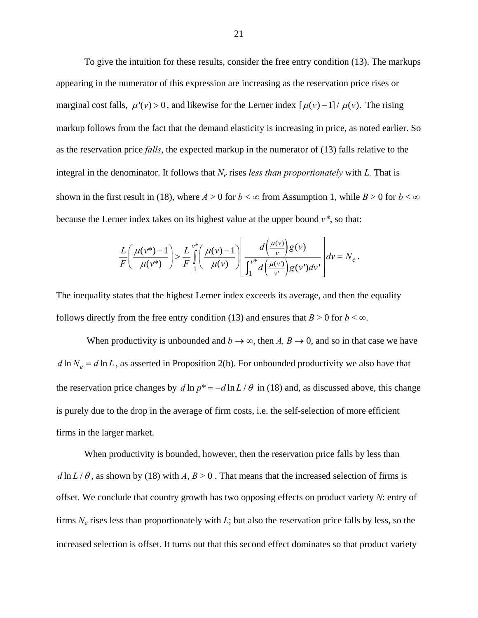To give the intuition for these results, consider the free entry condition (13). The markups appearing in the numerator of this expression are increasing as the reservation price rises or marginal cost falls,  $\mu'(v) > 0$ , and likewise for the Lerner index  $\left[\mu(v) - 1\right] / \mu(v)$ . The rising markup follows from the fact that the demand elasticity is increasing in price, as noted earlier. So as the reservation price *falls*, the expected markup in the numerator of (13) falls relative to the integral in the denominator. It follows that  $N_e$  rises *less than proportionately* with  $L$ . That is shown in the first result in (18), where  $A > 0$  for  $b < \infty$  from Assumption 1, while  $B > 0$  for  $b < \infty$ because the Lerner index takes on its highest value at the upper bound *v\**, so that:

$$
\frac{L}{F}\left(\frac{\mu(v^*)-1}{\mu(v^*)}\right) > \frac{L}{F}\int_{1}^{v^*}\left(\frac{\mu(v)-1}{\mu(v)}\right)\frac{d\left(\frac{\mu(v)}{v}\right)g(v)}{\int_{1}^{v^*}d\left(\frac{\mu(v)}{v}\right)g(v)\,dv}\,dv = N_e
$$

.

The inequality states that the highest Lerner index exceeds its average, and then the equality follows directly from the free entry condition (13) and ensures that  $B > 0$  for  $b < \infty$ .

When productivity is unbounded and  $b \to \infty$ , then *A*,  $B \to 0$ , and so in that case we have  $d \ln N_e = d \ln L$ , as asserted in Proposition 2(b). For unbounded productivity we also have that the reservation price changes by  $d \ln p^* = -d \ln L / \theta$  in (18) and, as discussed above, this change is purely due to the drop in the average of firm costs, i.e. the self-selection of more efficient firms in the larger market.

When productivity is bounded, however, then the reservation price falls by less than  $d \ln L / \theta$ , as shown by (18) with *A*,  $B > 0$ . That means that the increased selection of firms is offset. We conclude that country growth has two opposing effects on product variety *N*: entry of firms *Ne* rises less than proportionately with *L*; but also the reservation price falls by less, so the increased selection is offset. It turns out that this second effect dominates so that product variety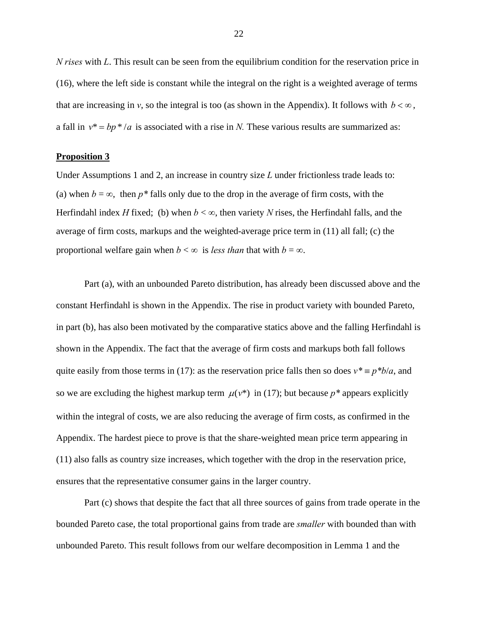*N rises* with *L*. This result can be seen from the equilibrium condition for the reservation price in (16), where the left side is constant while the integral on the right is a weighted average of terms that are increasing in *v*, so the integral is too (as shown in the Appendix). It follows with  $b < \infty$ , a fall in  $v^* = bp^* / a$  is associated with a rise in *N*. These various results are summarized as:

## **Proposition 3**

Under Assumptions 1 and 2, an increase in country size *L* under frictionless trade leads to: (a) when  $b = \infty$ , then  $p^*$  falls only due to the drop in the average of firm costs, with the Herfindahl index *H* fixed; (b) when  $b < \infty$ , then variety *N* rises, the Herfindahl falls, and the average of firm costs, markups and the weighted-average price term in (11) all fall; (c) the proportional welfare gain when  $b < \infty$  is *less than* that with  $b = \infty$ .

Part (a), with an unbounded Pareto distribution, has already been discussed above and the constant Herfindahl is shown in the Appendix. The rise in product variety with bounded Pareto, in part (b), has also been motivated by the comparative statics above and the falling Herfindahl is shown in the Appendix. The fact that the average of firm costs and markups both fall follows quite easily from those terms in (17): as the reservation price falls then so does  $v^* = p^*b/a$ , and so we are excluding the highest markup term  $\mu(\nu^*)$  in (17); but because  $p^*$  appears explicitly within the integral of costs, we are also reducing the average of firm costs, as confirmed in the Appendix. The hardest piece to prove is that the share-weighted mean price term appearing in (11) also falls as country size increases, which together with the drop in the reservation price, ensures that the representative consumer gains in the larger country.

Part (c) shows that despite the fact that all three sources of gains from trade operate in the bounded Pareto case, the total proportional gains from trade are *smaller* with bounded than with unbounded Pareto. This result follows from our welfare decomposition in Lemma 1 and the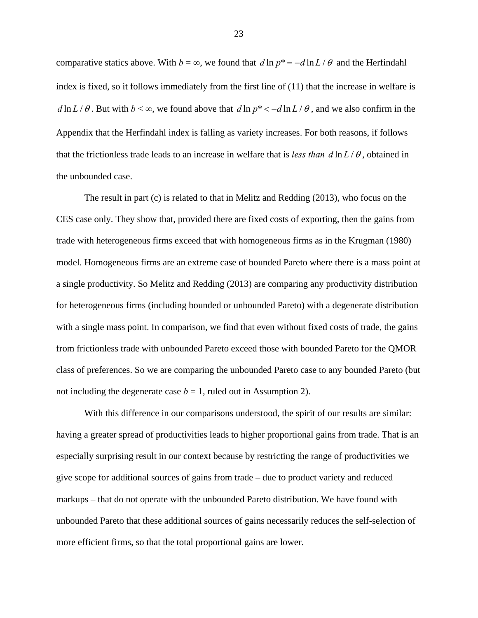comparative statics above. With  $b = \infty$ , we found that  $d \ln p^* = -d \ln L / \theta$  and the Herfindahl index is fixed, so it follows immediately from the first line of (11) that the increase in welfare is  $d \ln L / \theta$ . But with  $b < \infty$ , we found above that  $d \ln p^* < -d \ln L / \theta$ , and we also confirm in the Appendix that the Herfindahl index is falling as variety increases. For both reasons, if follows that the frictionless trade leads to an increase in welfare that is *less than*  $d \ln L / \theta$ , obtained in the unbounded case.

The result in part (c) is related to that in Melitz and Redding (2013), who focus on the CES case only. They show that, provided there are fixed costs of exporting, then the gains from trade with heterogeneous firms exceed that with homogeneous firms as in the Krugman (1980) model. Homogeneous firms are an extreme case of bounded Pareto where there is a mass point at a single productivity. So Melitz and Redding (2013) are comparing any productivity distribution for heterogeneous firms (including bounded or unbounded Pareto) with a degenerate distribution with a single mass point. In comparison, we find that even without fixed costs of trade, the gains from frictionless trade with unbounded Pareto exceed those with bounded Pareto for the QMOR class of preferences. So we are comparing the unbounded Pareto case to any bounded Pareto (but not including the degenerate case  $b = 1$ , ruled out in Assumption 2).

With this difference in our comparisons understood, the spirit of our results are similar: having a greater spread of productivities leads to higher proportional gains from trade. That is an especially surprising result in our context because by restricting the range of productivities we give scope for additional sources of gains from trade – due to product variety and reduced markups – that do not operate with the unbounded Pareto distribution. We have found with unbounded Pareto that these additional sources of gains necessarily reduces the self-selection of more efficient firms, so that the total proportional gains are lower.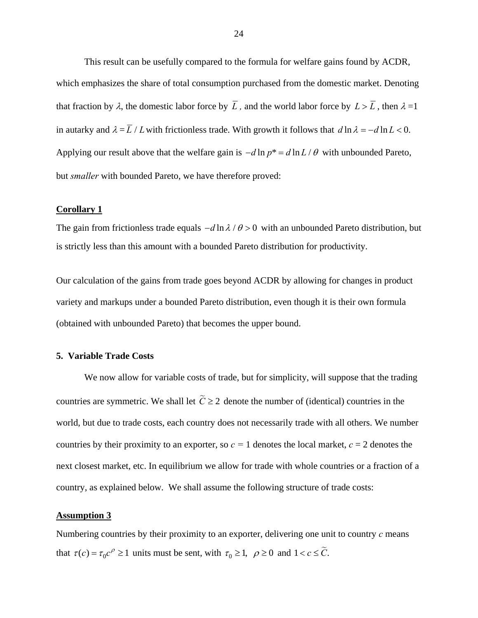This result can be usefully compared to the formula for welfare gains found by ACDR, which emphasizes the share of total consumption purchased from the domestic market. Denoting that fraction by  $\lambda$ , the domestic labor force by  $\overline{L}$ , and the world labor force by  $L > \overline{L}$ , then  $\lambda = 1$ in autarky and  $\lambda = \overline{L}/L$  with frictionless trade. With growth it follows that  $d \ln \lambda = -d \ln L < 0$ . Applying our result above that the welfare gain is  $-d \ln p^* = d \ln L / \theta$  with unbounded Pareto, but *smaller* with bounded Pareto, we have therefore proved:

#### **Corollary 1**

The gain from frictionless trade equals  $-d \ln \lambda / \theta > 0$  with an unbounded Pareto distribution, but is strictly less than this amount with a bounded Pareto distribution for productivity.

Our calculation of the gains from trade goes beyond ACDR by allowing for changes in product variety and markups under a bounded Pareto distribution, even though it is their own formula (obtained with unbounded Pareto) that becomes the upper bound.

# **5. Variable Trade Costs**

We now allow for variable costs of trade, but for simplicity, will suppose that the trading countries are symmetric. We shall let  $\tilde{C} \geq 2$  denote the number of (identical) countries in the world, but due to trade costs, each country does not necessarily trade with all others. We number countries by their proximity to an exporter, so  $c = 1$  denotes the local market,  $c = 2$  denotes the next closest market, etc. In equilibrium we allow for trade with whole countries or a fraction of a country, as explained below. We shall assume the following structure of trade costs:

### **Assumption 3**

Numbering countries by their proximity to an exporter, delivering one unit to country *c* means that  $\tau(c) = \tau_0 c^{\rho} \ge 1$  units must be sent, with  $\tau_0 \ge 1$ ,  $\rho \ge 0$  and  $1 < c \le \tilde{C}$ .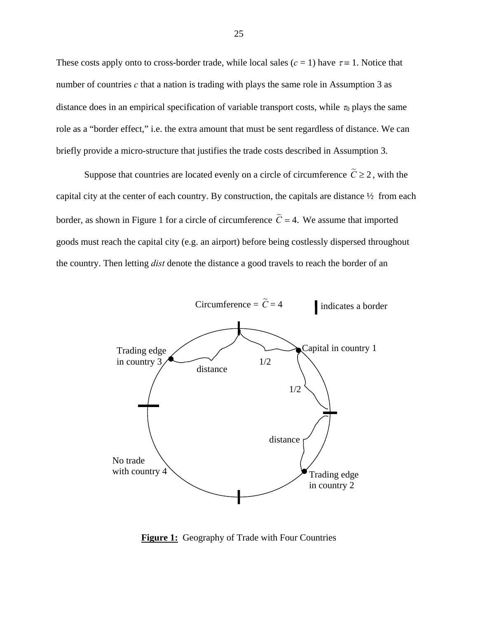These costs apply onto to cross-border trade, while local sales  $(c = 1)$  have  $\tau = 1$ . Notice that number of countries *c* that a nation is trading with plays the same role in Assumption 3 as distance does in an empirical specification of variable transport costs, while  $\tau_0$  plays the same role as a "border effect," i.e. the extra amount that must be sent regardless of distance. We can briefly provide a micro-structure that justifies the trade costs described in Assumption 3.

Suppose that countries are located evenly on a circle of circumference  $\tilde{C} \ge 2$ , with the capital city at the center of each country. By construction, the capitals are distance ½ from each border, as shown in Figure 1 for a circle of circumference  $\tilde{C} = 4$ . We assume that imported goods must reach the capital city (e.g. an airport) before being costlessly dispersed throughout the country. Then letting *dist* denote the distance a good travels to reach the border of an



**Figure 1:** Geography of Trade with Four Countries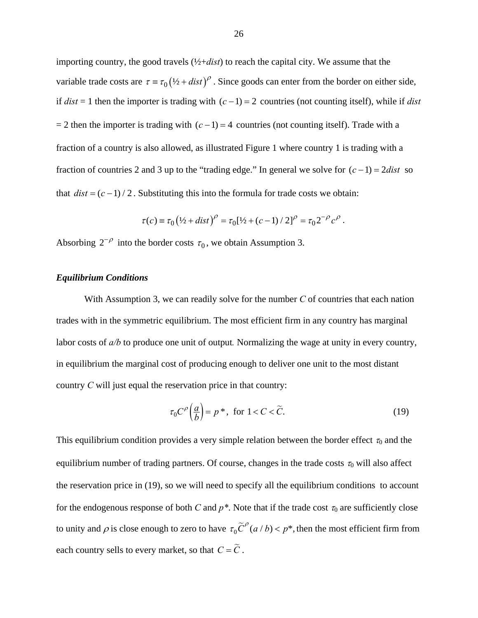importing country, the good travels (½+*dist*) to reach the capital city. We assume that the variable trade costs are  $\tau = \tau_0 (1/2 + dist)^{\rho}$ . Since goods can enter from the border on either side, if  $dist = 1$  then the importer is trading with  $(c-1) = 2$  countries (not counting itself), while if *dist*  $= 2$  then the importer is trading with  $(c-1) = 4$  countries (not counting itself). Trade with a fraction of a country is also allowed, as illustrated Figure 1 where country 1 is trading with a fraction of countries 2 and 3 up to the "trading edge." In general we solve for  $(c-1) = 2dist$  so that  $dist = (c - 1) / 2$ . Substituting this into the formula for trade costs we obtain:

$$
\tau(c) \equiv \tau_0 (1/2 + dist)^{\rho} = \tau_0 [1/2 + (c-1)/2]^{\rho} = \tau_0 2^{-\rho} c^{\rho}.
$$

Absorbing  $2^{-\rho}$  into the border costs  $\tau_0$ , we obtain Assumption 3.

## *Equilibrium Conditions*

With Assumption 3, we can readily solve for the number *C* of countries that each nation trades with in the symmetric equilibrium. The most efficient firm in any country has marginal labor costs of *a/b* to produce one unit of output*.* Normalizing the wage at unity in every country, in equilibrium the marginal cost of producing enough to deliver one unit to the most distant country *C* will just equal the reservation price in that country:

$$
\tau_0 C^{\rho} \left( \frac{a}{b} \right) = p^*, \text{ for } 1 < C < \widetilde{C}. \tag{19}
$$

This equilibrium condition provides a very simple relation between the border effect  $\tau_0$  and the equilibrium number of trading partners. Of course, changes in the trade costs  $\tau_0$  will also affect the reservation price in (19), so we will need to specify all the equilibrium conditions to account for the endogenous response of both *C* and  $p^*$ . Note that if the trade cost  $\tau_0$  are sufficiently close to unity and  $\rho$  is close enough to zero to have  $\tau_0 \tilde{C}^{\rho}(a/b) < p^*$ , then the most efficient firm from each country sells to every market, so that  $C = \tilde{C}$ .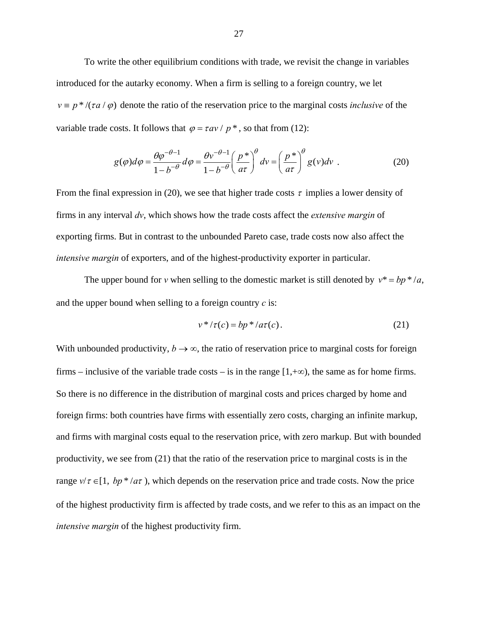To write the other equilibrium conditions with trade, we revisit the change in variables introduced for the autarky economy. When a firm is selling to a foreign country, we let  $v \equiv p^* / (\tau a / \varphi)$  denote the ratio of the reservation price to the marginal costs *inclusive* of the variable trade costs. It follows that  $\varphi = \tau a v / p^*$ , so that from (12):

$$
g(\varphi)d\varphi = \frac{\theta \varphi^{-\theta-1}}{1-b^{-\theta}}d\varphi = \frac{\theta v^{-\theta-1}}{1-b^{-\theta}} \left(\frac{p^*}{a\tau}\right)^{\theta} dv = \left(\frac{p^*}{a\tau}\right)^{\theta} g(v)dv
$$
 (20)

From the final expression in (20), we see that higher trade costs  $\tau$  implies a lower density of firms in any interval *dv*, which shows how the trade costs affect the *extensive margin* of exporting firms. But in contrast to the unbounded Pareto case, trade costs now also affect the *intensive margin* of exporters, and of the highest-productivity exporter in particular.

The upper bound for *v* when selling to the domestic market is still denoted by  $v^* = bp^* / a$ , and the upper bound when selling to a foreign country *c* is:

$$
v^*/\tau(c) = bp^*/a\tau(c). \tag{21}
$$

With unbounded productivity,  $b \rightarrow \infty$ , the ratio of reservation price to marginal costs for foreign firms – inclusive of the variable trade costs – is in the range  $[1,+\infty)$ , the same as for home firms. So there is no difference in the distribution of marginal costs and prices charged by home and foreign firms: both countries have firms with essentially zero costs, charging an infinite markup, and firms with marginal costs equal to the reservation price, with zero markup. But with bounded productivity, we see from (21) that the ratio of the reservation price to marginal costs is in the range  $v/\tau \in [1, bp^* / a\tau)$ , which depends on the reservation price and trade costs. Now the price of the highest productivity firm is affected by trade costs, and we refer to this as an impact on the *intensive margin* of the highest productivity firm.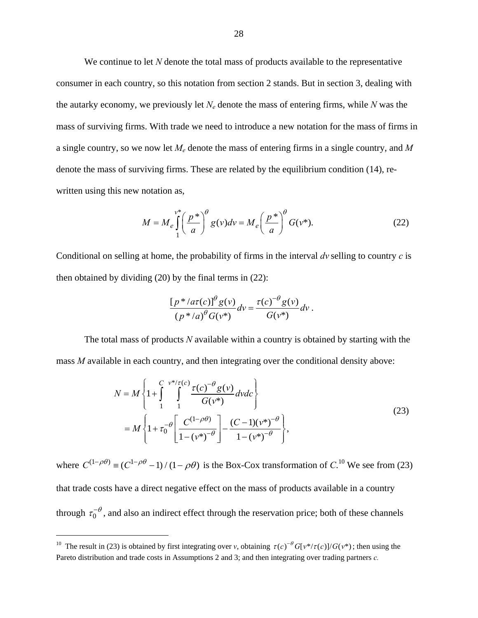We continue to let N denote the total mass of products available to the representative consumer in each country, so this notation from section 2 stands. But in section 3, dealing with the autarky economy, we previously let  $N_e$  denote the mass of entering firms, while  $N$  was the mass of surviving firms. With trade we need to introduce a new notation for the mass of firms in a single country, so we now let *Me* denote the mass of entering firms in a single country, and *M*  denote the mass of surviving firms. These are related by the equilibrium condition (14), rewritten using this new notation as,

$$
M = M_e \int_{1}^{v^*} \left(\frac{p^*}{a}\right)^{\theta} g(v)dv = M_e \left(\frac{p^*}{a}\right)^{\theta} G(v^*).
$$
 (22)

Conditional on selling at home, the probability of firms in the interval *dv* selling to country *c* is then obtained by dividing (20) by the final terms in (22):

$$
\frac{\left[p^*/a\tau(c)\right]^{\theta}g(v)}{\left(p^*/a\right)^{\theta}G(v^*)}dv = \frac{\tau(c)^{-\theta}g(v)}{G(v^*)}dv.
$$

The total mass of products *N* available within a country is obtained by starting with the mass *M* available in each country, and then integrating over the conditional density above:

$$
N = M \left\{ 1 + \int_{1}^{C} \int_{1}^{v^{*}/\tau(c)} \frac{\tau(c)^{-\theta} g(v)}{G(v^{*})} dv dc \right\}
$$
  
= 
$$
M \left\{ 1 + \tau_0^{-\theta} \left[ \frac{C^{(1-\rho\theta)}}{1 - (v^{*})^{-\theta}} \right] - \frac{(C-1)(v^{*})^{-\theta}}{1 - (v^{*})^{-\theta}} \right\},
$$
 (23)

where  $C^{(1-\rho\theta)} = (C^{1-\rho\theta} - 1)/(1-\rho\theta)$  is the Box-Cox transformation of  $C^{(1)}$ . We see from (23) that trade costs have a direct negative effect on the mass of products available in a country through  $\tau_0^{-\theta}$ , and also an indirect effect through the reservation price; both of these channels

 $\overline{a}$ 

<sup>&</sup>lt;sup>10</sup> The result in (23) is obtained by first integrating over *v*, obtaining  $\tau(c)^{-\theta} G[v^*/\tau(c)]/G(v^*)$ ; then using the Pareto distribution and trade costs in Assumptions 2 and 3; and then integrating over trading partners *c.*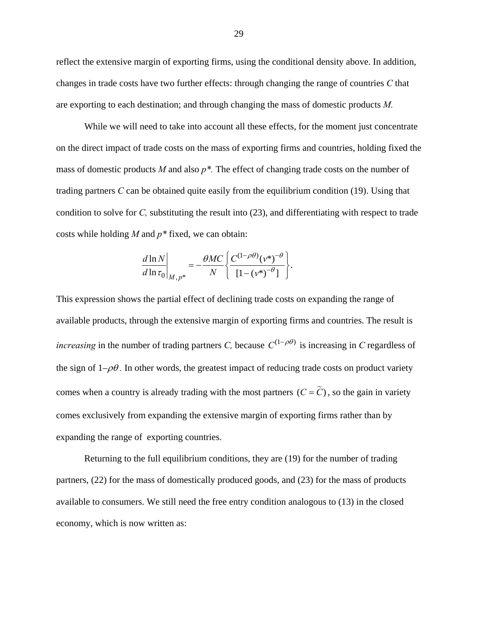reflect the extensive margin of exporting firms, using the conditional density above. In addition, changes in trade costs have two further effects: through changing the range of countries *C* that are exporting to each destination; and through changing the mass of domestic products *M.* 

While we will need to take into account all these effects, for the moment just concentrate on the direct impact of trade costs on the mass of exporting firms and countries, holding fixed the mass of domestic products *M* and also *p\*.* The effect of changing trade costs on the number of trading partners *C* can be obtained quite easily from the equilibrium condition (19). Using that condition to solve for *C,* substituting the result into (23), and differentiating with respect to trade costs while holding *M* and *p\** fixed, we can obtain:

$$
\frac{d \ln N}{d \ln \tau_0}\bigg|_{M, p^*} = -\frac{\theta MC}{N} \bigg\{ \frac{C^{(1-\rho\theta)}(v^*)^{-\theta}}{[1-(v^*)^{-\theta}]}\bigg\}.
$$

This expression shows the partial effect of declining trade costs on expanding the range of available products, through the extensive margin of exporting firms and countries. The result is *increasing* in the number of trading partners *C*, because  $C^{(1-\rho\theta)}$  is increasing in *C* regardless of the sign of  $1-\rho\theta$ . In other words, the greatest impact of reducing trade costs on product variety comes when a country is already trading with the most partners  $(C = \widetilde{C})$ , so the gain in variety comes exclusively from expanding the extensive margin of exporting firms rather than by expanding the range of exporting countries.

Returning to the full equilibrium conditions, they are (19) for the number of trading partners, (22) for the mass of domestically produced goods, and (23) for the mass of products available to consumers. We still need the free entry condition analogous to (13) in the closed economy, which is now written as: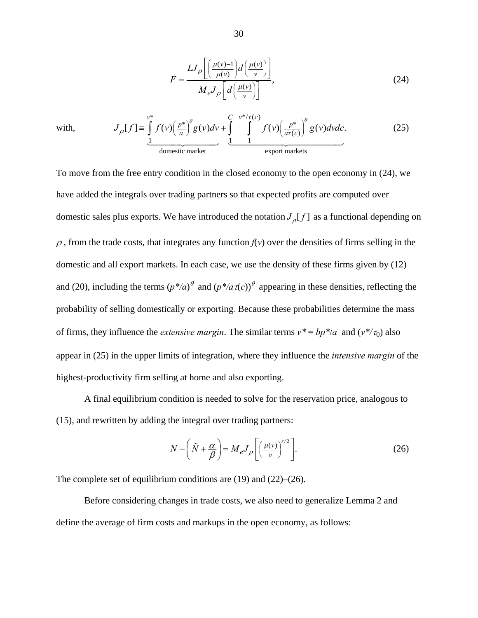$$
F = \frac{LJ_{\rho} \left[ \left( \frac{\mu(v) - 1}{\mu(v)} \right) d \left( \frac{\mu(v)}{v} \right) \right]}{M_{e} J_{\rho} \left[ d \left( \frac{\mu(v)}{v} \right) \right]},
$$
\n(24)

with, \*  $C \quad v^*/\tau(c)$ \*  $\int_{a}^{b} a(u) du + \int_{a}^{b} f(u) \left[ p^* \right]$  $\left( c\right)$ 1 1 1 domestic market export markets  $[f] \equiv |f(v)| \frac{p^*}{r} |g(v)dv + | f(v)| \frac{p^*}{r} |g(v)dv dv.$  $v^*$  c  $v^* / \tau(c)$  $J_{\rho}[f] = \int f(v) \left(\frac{p^*}{a}\right)^{\sigma} g(v) dv + \int \int f(v) \left(\frac{p^*}{a\tau(c)}\right)^{\sigma} g(v) dv dv$  $\theta$   $\left( \begin{array}{cc} V^* / \tau(c) & \theta \end{array} \right)$  $\int_{\rho} [f] = \int f(v) \left(\frac{p^*}{a}\right)^v g(v) dv + \int \int f(v) \left(\frac{p^*}{a\tau(c)}\right)$  $\frac{1}{\sqrt{1-\frac{1}{\sqrt{1-\frac{1}{\sqrt{1-\frac{1}{\sqrt{1-\frac{1}{\sqrt{1-\frac{1}{\sqrt{1-\frac{1}{\sqrt{1-\frac{1}{\sqrt{1-\frac{1}{\sqrt{1-\frac{1}{\sqrt{1-\frac{1}{\sqrt{1-\frac{1}{\sqrt{1-\frac{1}{\sqrt{1-\frac{1}{\sqrt{1-\frac{1}{\sqrt{1-\frac{1}{\sqrt{1-\frac{1}{\sqrt{1-\frac{1}{\sqrt{1-\frac{1}{\sqrt{1-\frac{1}{\sqrt{1-\frac{1}{\sqrt{1-\frac{1}{\sqrt{1-\frac{1}{\sqrt{1-\frac{1}{\sqrt{1-\frac{1$ (25)

To move from the free entry condition in the closed economy to the open economy in (24), we have added the integrals over trading partners so that expected profits are computed over domestic sales plus exports. We have introduced the notation  $J_{\rho}[f]$  as a functional depending on  $\rho$ , from the trade costs, that integrates any function  $f(v)$  over the densities of firms selling in the domestic and all export markets. In each case, we use the density of these firms given by (12) and (20), including the terms  $(p^*/a)^\theta$  and  $(p^*/a\pi(c))^\theta$  appearing in these densities, reflecting the probability of selling domestically or exporting*.* Because these probabilities determine the mass of firms, they influence the *extensive margin*. The similar terms  $v^* = bp^*/a$  and  $(v^*/\tau_0)$  also appear in (25) in the upper limits of integration, where they influence the *intensive margin* of the highest-productivity firm selling at home and also exporting.

A final equilibrium condition is needed to solve for the reservation price, analogous to (15), and rewritten by adding the integral over trading partners:

$$
N - \left(\tilde{N} + \frac{\alpha}{\beta}\right) = M_e J_\rho \left[\left(\frac{\mu(v)}{v}\right)^{r/2}\right].
$$
 (26)

The complete set of equilibrium conditions are (19) and (22)–(26).

Before considering changes in trade costs, we also need to generalize Lemma 2 and define the average of firm costs and markups in the open economy, as follows: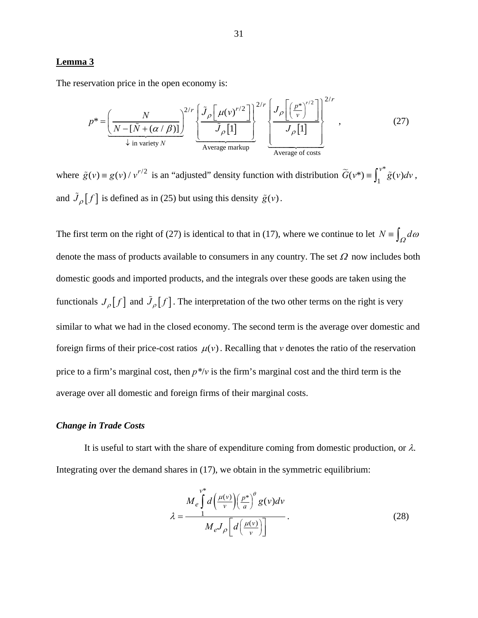## **Lemma 3**

The reservation price in the open economy is:

$$
p^* = \underbrace{\left(\frac{N}{N - [\tilde{N} + (\alpha/\beta)]}\right)^{2/r} \left\{\frac{\tilde{J}_\rho \left[\mu(\nu)^{r/2}\right]}{\tilde{J}_\rho[1]}\right\}^{2/r}}_{\text{Average markup}} \underbrace{\left\{\frac{J_\rho \left[\left(\frac{p^*}{\nu}\right)^{r/2}\right]}{J_\rho[1]}\right\}^{2/r}}_{\text{Average of costs}}, \tag{27}
$$

where  $\tilde{g}(v) = g(v) / v^{r/2}$  is an "adjusted" density function with distribution  $\tilde{G}(v^*) = \int_1^{v^*} \tilde{g}(v) dv$ , and  $\tilde{J}_{\rho}[f]$  is defined as in (25) but using this density  $\tilde{g}(v)$ .

The first term on the right of (27) is identical to that in (17), where we continue to let  $N = \int_{\Omega} d\omega$ denote the mass of products available to consumers in any country. The set  $\Omega$  now includes both domestic goods and imported products, and the integrals over these goods are taken using the functionals  $J_{\rho}[f]$  and  $\tilde{J}_{\rho}[f]$ . The interpretation of the two other terms on the right is very similar to what we had in the closed economy. The second term is the average over domestic and foreign firms of their price-cost ratios  $\mu(v)$ . Recalling that *v* denotes the ratio of the reservation price to a firm's marginal cost, then *p\**/*v* is the firm's marginal cost and the third term is the average over all domestic and foreign firms of their marginal costs.

# *Change in Trade Costs*

It is useful to start with the share of expenditure coming from domestic production, or  $\lambda$ . Integrating over the demand shares in (17), we obtain in the symmetric equilibrium:

$$
\lambda = \frac{M_e \int_0^{v^*} d\left(\frac{\mu(v)}{v}\right) \left(\frac{p^*}{a}\right)^{\theta} g(v) dv}{M_e J_\rho \left[d\left(\frac{\mu(v)}{v}\right)\right]}.
$$
\n(28)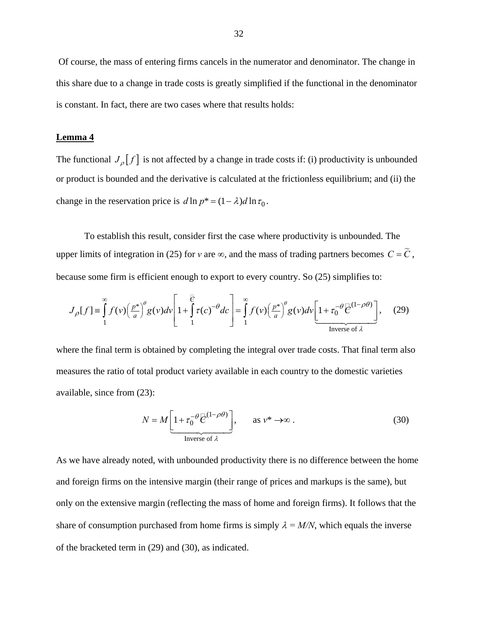Of course, the mass of entering firms cancels in the numerator and denominator. The change in this share due to a change in trade costs is greatly simplified if the functional in the denominator is constant. In fact, there are two cases where that results holds:

## **Lemma 4**

The functional  $J_{\rho}[f]$  is not affected by a change in trade costs if: (i) productivity is unbounded or product is bounded and the derivative is calculated at the frictionless equilibrium; and (ii) the change in the reservation price is  $d \ln p^* = (1 - \lambda) d \ln \tau_0$ .

To establish this result, consider first the case where productivity is unbounded. The upper limits of integration in (25) for *v* are  $\infty$ , and the mass of trading partners becomes  $C = \tilde{C}$ , because some firm is efficient enough to export to every country. So (25) simplifies to:

$$
J_{\rho}[f] \equiv \int_{1}^{\infty} f(v) \left(\frac{p^*}{a}\right)^{\theta} g(v) dv \left[1 + \int_{1}^{\frac{1}{C}} \tau(c)^{-\theta} dc\right] = \int_{1}^{\infty} f(v) \left(\frac{p^*}{a}\right)^{\theta} g(v) dv \left[1 + \tau_0^{-\theta} \overline{C}^{(1-\rho\theta)}\right], \quad (29)
$$

where the final term is obtained by completing the integral over trade costs. That final term also measures the ratio of total product variety available in each country to the domestic varieties available, since from (23):

$$
N = M \left[ 1 + \tau_0^{-\theta} \overline{C}^{(1-\rho\theta)} \right], \qquad \text{as } \nu^* \to \infty.
$$
 (30)

As we have already noted, with unbounded productivity there is no difference between the home and foreign firms on the intensive margin (their range of prices and markups is the same), but only on the extensive margin (reflecting the mass of home and foreign firms). It follows that the share of consumption purchased from home firms is simply  $\lambda = M/N$ , which equals the inverse of the bracketed term in (29) and (30), as indicated.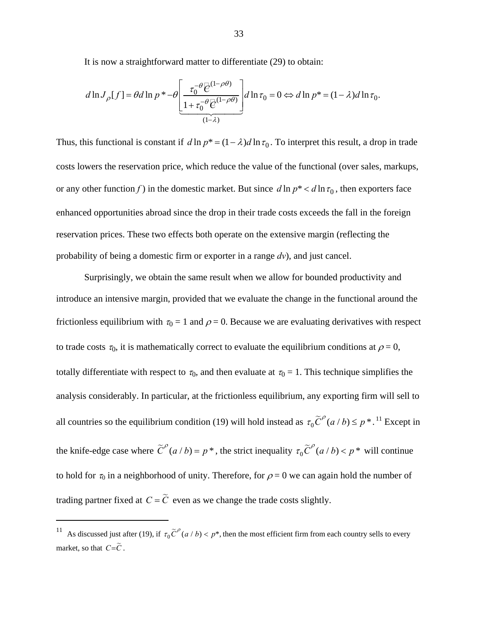It is now a straightforward matter to differentiate (29) to obtain:

$$
d\ln J_{\rho}[f] = \theta d\ln p * -\theta \left[ \frac{\tau_0^{-\theta} \overline{\mathcal{C}}^{(1-\rho\theta)}}{1 + \tau_0^{-\theta} \overline{\mathcal{C}}^{(1-\rho\theta)}} \right] d\ln \tau_0 = 0 \Leftrightarrow d\ln p * = (1 - \lambda) d\ln \tau_0.
$$

Thus, this functional is constant if  $d \ln p^* = (1 - \lambda) d \ln \tau_0$ . To interpret this result, a drop in trade costs lowers the reservation price, which reduce the value of the functional (over sales, markups, or any other function *f*) in the domestic market. But since  $d \ln p^* < d \ln \tau_0$ , then exporters face enhanced opportunities abroad since the drop in their trade costs exceeds the fall in the foreign reservation prices. These two effects both operate on the extensive margin (reflecting the probability of being a domestic firm or exporter in a range *dv*), and just cancel.

Surprisingly, we obtain the same result when we allow for bounded productivity and introduce an intensive margin, provided that we evaluate the change in the functional around the frictionless equilibrium with  $\tau_0 = 1$  and  $\rho = 0$ . Because we are evaluating derivatives with respect to trade costs  $\tau_0$ , it is mathematically correct to evaluate the equilibrium conditions at  $\rho = 0$ , totally differentiate with respect to  $\tau_0$ , and then evaluate at  $\tau_0 = 1$ . This technique simplifies the analysis considerably. In particular, at the frictionless equilibrium, any exporting firm will sell to all countries so the equilibrium condition (19) will hold instead as  $\tau_0 \tilde{C}^{\rho}(a/b) \leq p^*$ . <sup>11</sup> Except in the knife-edge case where  $\tilde{C}^p(a/b) = p^*$ , the strict inequality  $\tau_0 \tilde{C}^p(a/b) < p^*$  will continue to hold for  $\tau_0$  in a neighborhood of unity. Therefore, for  $\rho = 0$  we can again hold the number of trading partner fixed at  $C = \widetilde{C}$  even as we change the trade costs slightly.

 $\overline{a}$ 

<sup>&</sup>lt;sup>11</sup> As discussed just after (19), if  $\tau_0 \tilde{C}^{\rho}$  (*a / b*) < *p*<sup>\*</sup>, then the most efficient firm from each country sells to every market, so that  $C = \widetilde{C}$ .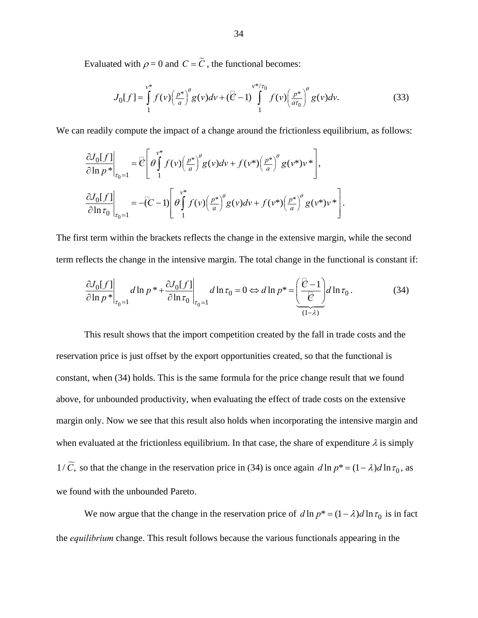Evaluated with  $\rho = 0$  and  $C = \tilde{C}$ , the functional becomes:

$$
J_0[f] = \int_{1}^{v^*} f(v) \left(\frac{p^*}{a}\right)^{\theta} g(v) dv + \left(\bar{\mathcal{C}} - 1\right) \int_{1}^{v^*/\tau_0} f(v) \left(\frac{p^*}{a\tau_0}\right)^{\theta} g(v) dv. \tag{33}
$$

We can readily compute the impact of a change around the frictionless equilibrium, as follows:

$$
\frac{\partial J_0[f]}{\partial \ln p^*}\Big|_{\tau_0=1} = \overline{\mathcal{C}} \Bigg[ \theta \int_1^{v^*} f(v) \Big(\frac{p^*}{a}\Big)^{\theta} g(v) dv + f(v^*) \Big(\frac{p^*}{a}\Big)^{\theta} g(v^*) v^* \Bigg],
$$
  

$$
\frac{\partial J_0[f]}{\partial \ln \tau_0}\Big|_{\tau_0=1} = -\overline{\mathcal{C}} - 1 \Bigg[ \theta \int_1^{v^*} f(v) \Big(\frac{p^*}{a}\Big)^{\theta} g(v) dv + f(v^*) \Big(\frac{p^*}{a}\Big)^{\theta} g(v^*) v^* \Bigg].
$$

The first term within the brackets reflects the change in the extensive margin, while the second term reflects the change in the intensive margin. The total change in the functional is constant if:

$$
\frac{\partial J_0[f]}{\partial \ln p^*}\bigg|_{\tau_0=1} d \ln p^* + \frac{\partial J_0[f]}{\partial \ln \tau_0}\bigg|_{\tau_0=1} d \ln \tau_0 = 0 \Leftrightarrow d \ln p^* = \underbrace{\left(\frac{\overline{e} - 1}{\overline{e}}\right)}_{(1-\lambda)} d \ln \tau_0.
$$
\n(34)

This result shows that the import competition created by the fall in trade costs and the reservation price is just offset by the export opportunities created, so that the functional is constant, when (34) holds. This is the same formula for the price change result that we found above, for unbounded productivity, when evaluating the effect of trade costs on the extensive margin only. Now we see that this result also holds when incorporating the intensive margin and when evaluated at the frictionless equilibrium. In that case, the share of expenditure  $\lambda$  is simply  $1/\widetilde{C}$ , so that the change in the reservation price in (34) is once again  $d \ln p^* = (1 - \lambda) d \ln \tau_0$ , as we found with the unbounded Pareto.

We now argue that the change in the reservation price of  $d \ln p^* = (1 - \lambda) d \ln \tau_0$  is in fact the *equilibrium* change. This result follows because the various functionals appearing in the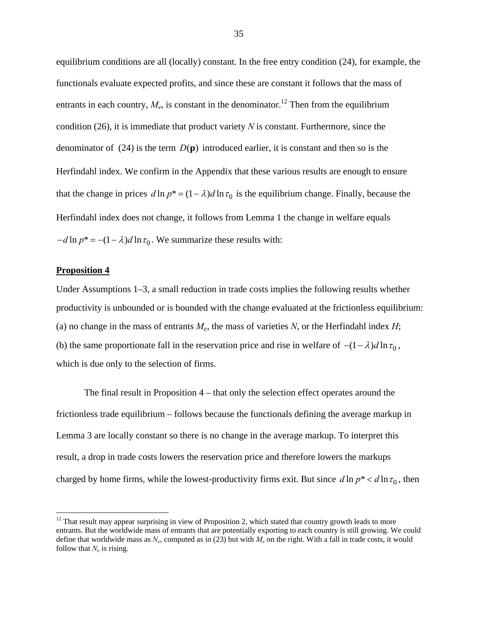equilibrium conditions are all (locally) constant. In the free entry condition (24), for example, the functionals evaluate expected profits, and since these are constant it follows that the mass of entrants in each country,  $M_e$ , is constant in the denominator.<sup>12</sup> Then from the equilibrium condition (26), it is immediate that product variety *N* is constant. Furthermore, since the denominator of (24) is the term  $D(\mathbf{p})$  introduced earlier, it is constant and then so is the Herfindahl index. We confirm in the Appendix that these various results are enough to ensure that the change in prices  $d \ln p^* = (1 - \lambda) d \ln \tau_0$  is the equilibrium change. Finally, because the Herfindahl index does not change, it follows from Lemma 1 the change in welfare equals  $-d \ln p^* = -(1 - \lambda) d \ln \tau_0$ . We summarize these results with:

# **Proposition 4**

 $\overline{a}$ 

Under Assumptions 1–3, a small reduction in trade costs implies the following results whether productivity is unbounded or is bounded with the change evaluated at the frictionless equilibrium: (a) no change in the mass of entrants  $M_e$ , the mass of varieties N, or the Herfindahl index  $H$ ; (b) the same proportionate fall in the reservation price and rise in welfare of  $-(1 - \lambda) d \ln \tau_0$ , which is due only to the selection of firms.

The final result in Proposition 4 – that only the selection effect operates around the frictionless trade equilibrium – follows because the functionals defining the average markup in Lemma 3 are locally constant so there is no change in the average markup. To interpret this result, a drop in trade costs lowers the reservation price and therefore lowers the markups charged by home firms, while the lowest-productivity firms exit. But since  $d \ln p^* < d \ln \tau_0$ , then

 $12$  That result may appear surprising in view of Proposition 2, which stated that country growth leads to more entrants. But the worldwide mass of entrants that are potentially exporting to each country is still growing. We could define that worldwide mass as  $N_e$ , computed as in (23) but with  $M_e$  on the right. With a fall in trade costs, it would follow that  $N_e$  is rising.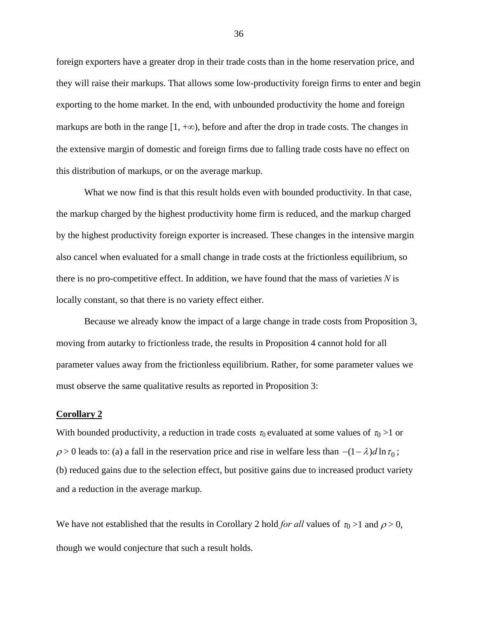foreign exporters have a greater drop in their trade costs than in the home reservation price, and they will raise their markups. That allows some low-productivity foreign firms to enter and begin exporting to the home market. In the end, with unbounded productivity the home and foreign markups are both in the range  $[1, +\infty)$ , before and after the drop in trade costs. The changes in the extensive margin of domestic and foreign firms due to falling trade costs have no effect on this distribution of markups, or on the average markup.

What we now find is that this result holds even with bounded productivity. In that case, the markup charged by the highest productivity home firm is reduced, and the markup charged by the highest productivity foreign exporter is increased. These changes in the intensive margin also cancel when evaluated for a small change in trade costs at the frictionless equilibrium, so there is no pro-competitive effect. In addition, we have found that the mass of varieties *N* is locally constant, so that there is no variety effect either.

 Because we already know the impact of a large change in trade costs from Proposition 3, moving from autarky to frictionless trade, the results in Proposition 4 cannot hold for all parameter values away from the frictionless equilibrium. Rather, for some parameter values we must observe the same qualitative results as reported in Proposition 3:

#### **Corollary 2**

With bounded productivity, a reduction in trade costs  $\tau_0$  evaluated at some values of  $\tau_0 > 1$  or  $\rho > 0$  leads to: (a) a fall in the reservation price and rise in welfare less than  $-(1 - \lambda) d \ln \tau_0$ ; (b) reduced gains due to the selection effect, but positive gains due to increased product variety and a reduction in the average markup.

We have not established that the results in Corollary 2 hold *for all* values of  $\tau_0 > 1$  and  $\rho > 0$ , though we would conjecture that such a result holds.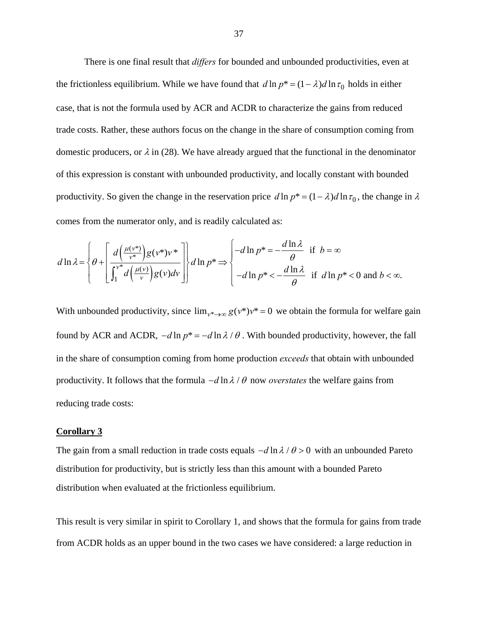There is one final result that *differs* for bounded and unbounded productivities, even at the frictionless equilibrium. While we have found that  $d \ln p^* = (1 - \lambda) d \ln \tau_0$  holds in either case, that is not the formula used by ACR and ACDR to characterize the gains from reduced trade costs. Rather, these authors focus on the change in the share of consumption coming from domestic producers, or  $\lambda$  in (28). We have already argued that the functional in the denominator of this expression is constant with unbounded productivity, and locally constant with bounded productivity. So given the change in the reservation price  $d \ln p^* = (1 - \lambda) d \ln \tau_0$ , the change in  $\lambda$ comes from the numerator only, and is readily calculated as:

$$
d\ln\lambda = \left\{\theta + \left[\frac{d\left(\frac{\mu(v^*)}{v^*}\right)g(v^*)v^*}{\int_1^{v^*}d\left(\frac{\mu(v)}{v}\right)g(v)dv}\right]\right\}d\ln p^* \Rightarrow \left\{-d\ln p^* = -\frac{d\ln\lambda}{\theta} \text{ if } b = \infty\right\}
$$
  
- $d\ln p^* < -\frac{d\ln\lambda}{\theta} \text{ if } d\ln p^* < 0 \text{ and } b < \infty.$ 

With unbounded productivity, since  $\lim_{v^* \to \infty} g(v^*) v^* = 0$  we obtain the formula for welfare gain found by ACR and ACDR,  $-d \ln p^* = -d \ln \lambda / \theta$ . With bounded productivity, however, the fall in the share of consumption coming from home production *exceeds* that obtain with unbounded productivity. It follows that the formula  $-d \ln \lambda / \theta$  now *overstates* the welfare gains from reducing trade costs:

# **Corollary 3**

The gain from a small reduction in trade costs equals  $-d \ln \lambda / \theta > 0$  with an unbounded Pareto distribution for productivity, but is strictly less than this amount with a bounded Pareto distribution when evaluated at the frictionless equilibrium.

This result is very similar in spirit to Corollary 1, and shows that the formula for gains from trade from ACDR holds as an upper bound in the two cases we have considered: a large reduction in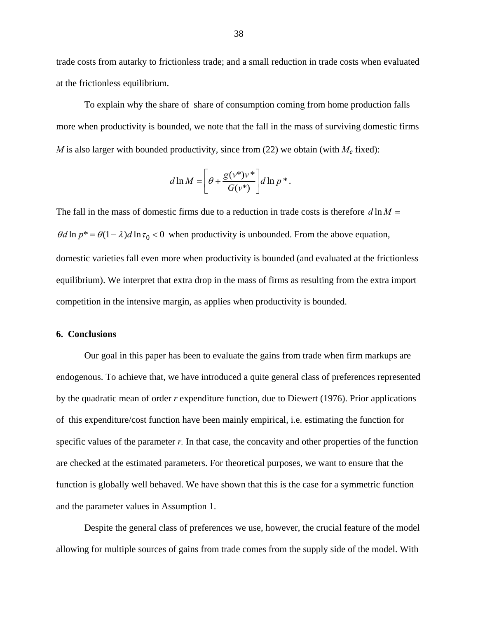trade costs from autarky to frictionless trade; and a small reduction in trade costs when evaluated at the frictionless equilibrium.

To explain why the share of share of consumption coming from home production falls more when productivity is bounded, we note that the fall in the mass of surviving domestic firms *M* is also larger with bounded productivity, since from (22) we obtain (with  $M_e$  fixed):

$$
d \ln M = \left[ \theta + \frac{g(v^*)v^*}{G(v^*)} \right] d \ln p^*.
$$

The fall in the mass of domestic firms due to a reduction in trade costs is therefore  $d \ln M =$  $\theta d \ln p^* = \theta (1 - \lambda) d \ln \tau_0 < 0$  when productivity is unbounded. From the above equation, domestic varieties fall even more when productivity is bounded (and evaluated at the frictionless equilibrium). We interpret that extra drop in the mass of firms as resulting from the extra import competition in the intensive margin, as applies when productivity is bounded.

## **6. Conclusions**

Our goal in this paper has been to evaluate the gains from trade when firm markups are endogenous. To achieve that, we have introduced a quite general class of preferences represented by the quadratic mean of order *r* expenditure function, due to Diewert (1976). Prior applications of this expenditure/cost function have been mainly empirical, i.e. estimating the function for specific values of the parameter *r*. In that case, the concavity and other properties of the function are checked at the estimated parameters. For theoretical purposes, we want to ensure that the function is globally well behaved. We have shown that this is the case for a symmetric function and the parameter values in Assumption 1.

Despite the general class of preferences we use, however, the crucial feature of the model allowing for multiple sources of gains from trade comes from the supply side of the model. With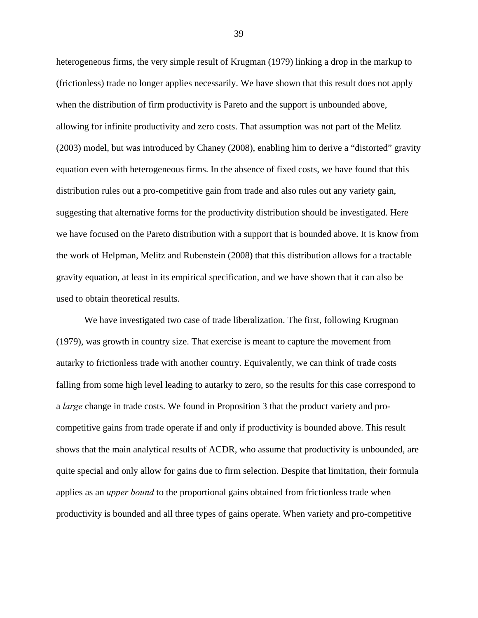heterogeneous firms, the very simple result of Krugman (1979) linking a drop in the markup to (frictionless) trade no longer applies necessarily. We have shown that this result does not apply when the distribution of firm productivity is Pareto and the support is unbounded above, allowing for infinite productivity and zero costs. That assumption was not part of the Melitz (2003) model, but was introduced by Chaney (2008), enabling him to derive a "distorted" gravity equation even with heterogeneous firms. In the absence of fixed costs, we have found that this distribution rules out a pro-competitive gain from trade and also rules out any variety gain, suggesting that alternative forms for the productivity distribution should be investigated. Here we have focused on the Pareto distribution with a support that is bounded above. It is know from the work of Helpman, Melitz and Rubenstein (2008) that this distribution allows for a tractable gravity equation, at least in its empirical specification, and we have shown that it can also be used to obtain theoretical results.

We have investigated two case of trade liberalization. The first, following Krugman (1979), was growth in country size. That exercise is meant to capture the movement from autarky to frictionless trade with another country. Equivalently, we can think of trade costs falling from some high level leading to autarky to zero, so the results for this case correspond to a *large* change in trade costs. We found in Proposition 3 that the product variety and procompetitive gains from trade operate if and only if productivity is bounded above. This result shows that the main analytical results of ACDR, who assume that productivity is unbounded, are quite special and only allow for gains due to firm selection. Despite that limitation, their formula applies as an *upper bound* to the proportional gains obtained from frictionless trade when productivity is bounded and all three types of gains operate. When variety and pro-competitive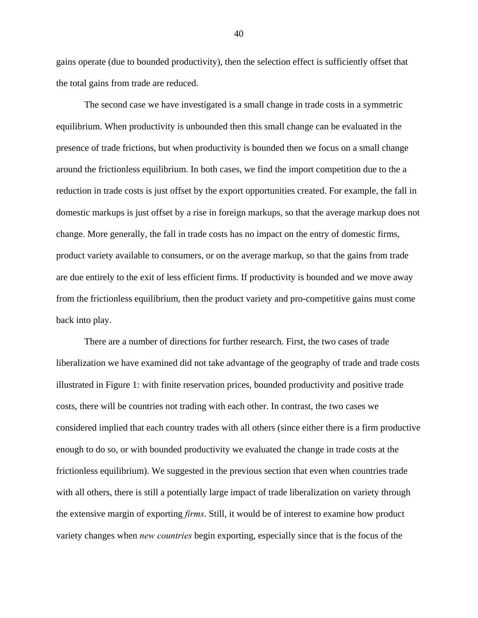gains operate (due to bounded productivity), then the selection effect is sufficiently offset that the total gains from trade are reduced.

The second case we have investigated is a small change in trade costs in a symmetric equilibrium. When productivity is unbounded then this small change can be evaluated in the presence of trade frictions, but when productivity is bounded then we focus on a small change around the frictionless equilibrium. In both cases, we find the import competition due to the a reduction in trade costs is just offset by the export opportunities created. For example, the fall in domestic markups is just offset by a rise in foreign markups, so that the average markup does not change. More generally, the fall in trade costs has no impact on the entry of domestic firms, product variety available to consumers, or on the average markup, so that the gains from trade are due entirely to the exit of less efficient firms. If productivity is bounded and we move away from the frictionless equilibrium, then the product variety and pro-competitive gains must come back into play.

There are a number of directions for further research. First, the two cases of trade liberalization we have examined did not take advantage of the geography of trade and trade costs illustrated in Figure 1: with finite reservation prices, bounded productivity and positive trade costs, there will be countries not trading with each other. In contrast, the two cases we considered implied that each country trades with all others (since either there is a firm productive enough to do so, or with bounded productivity we evaluated the change in trade costs at the frictionless equilibrium). We suggested in the previous section that even when countries trade with all others, there is still a potentially large impact of trade liberalization on variety through the extensive margin of exporting *firms*. Still, it would be of interest to examine how product variety changes when *new countries* begin exporting, especially since that is the focus of the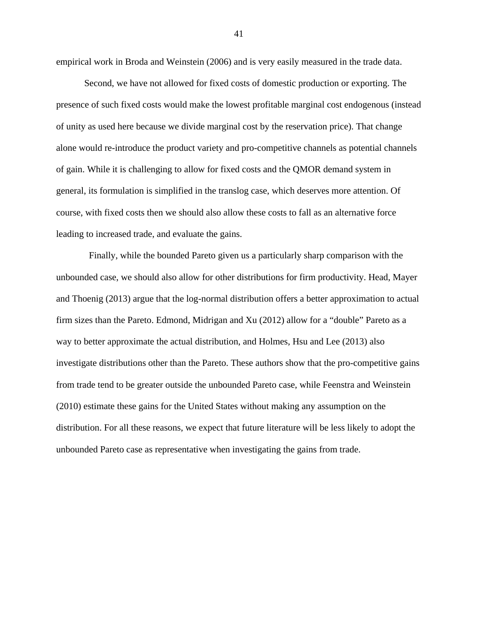empirical work in Broda and Weinstein (2006) and is very easily measured in the trade data.

Second, we have not allowed for fixed costs of domestic production or exporting. The presence of such fixed costs would make the lowest profitable marginal cost endogenous (instead of unity as used here because we divide marginal cost by the reservation price). That change alone would re-introduce the product variety and pro-competitive channels as potential channels of gain. While it is challenging to allow for fixed costs and the QMOR demand system in general, its formulation is simplified in the translog case, which deserves more attention. Of course, with fixed costs then we should also allow these costs to fall as an alternative force leading to increased trade, and evaluate the gains.

 Finally, while the bounded Pareto given us a particularly sharp comparison with the unbounded case, we should also allow for other distributions for firm productivity. Head, Mayer and Thoenig (2013) argue that the log-normal distribution offers a better approximation to actual firm sizes than the Pareto. Edmond, Midrigan and Xu (2012) allow for a "double" Pareto as a way to better approximate the actual distribution, and Holmes, Hsu and Lee (2013) also investigate distributions other than the Pareto. These authors show that the pro-competitive gains from trade tend to be greater outside the unbounded Pareto case, while Feenstra and Weinstein (2010) estimate these gains for the United States without making any assumption on the distribution. For all these reasons, we expect that future literature will be less likely to adopt the unbounded Pareto case as representative when investigating the gains from trade.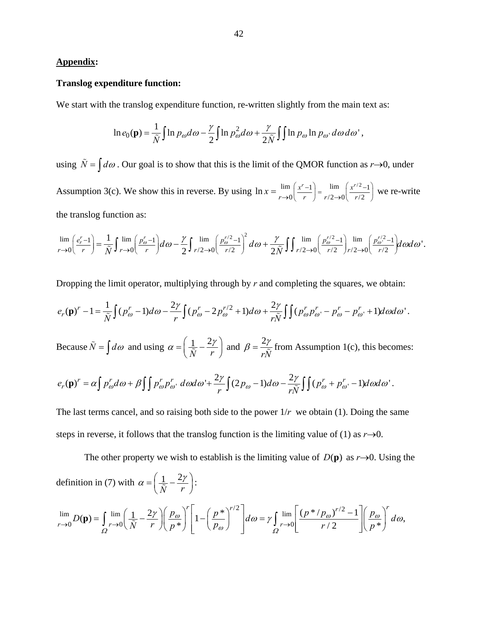# **Appendix:**

## **Translog expenditure function:**

We start with the translog expenditure function, re-written slightly from the main text as:

$$
\ln e_0(\mathbf{p}) = \frac{1}{\tilde{N}} \int \ln p_{\omega} d\omega - \frac{\gamma}{2} \int \ln p_{\omega}^2 d\omega + \frac{\gamma}{2\tilde{N}} \int \ln p_{\omega} \ln p_{\omega} d\omega d\omega',
$$

using  $\tilde{N} = \int d\omega$ . Our goal is to show that this is the limit of the QMOR function as *r* $\rightarrow$ 0, under Assumption 3(c). We show this in reverse. By using  $\ln x = \lim_{x \to 0} \left( \frac{x^r - 1}{2} \right) = \lim_{x \to 0} \left( \frac{x^{r/2} - 1}{2} \right)$  $\ln x = \lim_{r \to 0} \left( \frac{x^r - 1}{r} \right) = \lim_{r/2 \to 0} \left( \frac{x^{r/2} - 1}{r/2} \right)$  we re-write the translog function as:

$$
\lim_{r\to 0}\left(\frac{e_r^r-1}{r}\right)=\frac{1}{\tilde{N}}\int \lim_{r\to 0}\left(\frac{p_\omega^r-1}{r}\right)d\omega-\frac{\gamma}{2}\int \lim_{r/2\to 0}\left(\frac{p_\omega^{r/2}-1}{r/2}\right)^2d\omega+\frac{\gamma}{2\tilde{N}}\int \lim_{r/2\to 0}\left(\frac{p_\omega^{r/2}-1}{r/2}\right)\lim_{r/2\to 0}\left(\frac{p_\omega^{r/2}-1}{r/2}\right)d\omega d\omega'.
$$

Dropping the limit operator, multiplying through by *r* and completing the squares, we obtain:

$$
e_r(\mathbf{p})^r - 1 = \frac{1}{\tilde{N}} \int (p_\omega^r - 1) d\omega - \frac{2\gamma}{r} \int (p_\omega^r - 2p_\omega^{r/2} + 1) d\omega + \frac{2\gamma}{r\tilde{N}} \int \int (p_\omega^r p_\omega^r - p_\omega^r - p_\omega^r + 1) d\omega d\omega'.
$$

Because  $\tilde{N} = \int d\omega$  and using  $\alpha = \left(\frac{1}{\tilde{N}} - \frac{2\gamma}{r}\right)$  and  $\beta = \frac{2\gamma}{r\tilde{N}}$  from Assumption 1(c), this becomes:

$$
e_r(\mathbf{p})^r = \alpha \int p_{\omega}^r d\omega + \beta \int p_{\omega}^r p_{\omega}^r d\omega d\omega' + \frac{2\gamma}{r} \int (2p_{\omega} - 1) d\omega - \frac{2\gamma}{r\tilde{N}} \int \int (p_{\omega}^r + p_{\omega'}^r - 1) d\omega d\omega'.
$$

The last terms cancel, and so raising both side to the power  $1/r$  we obtain (1). Doing the same steps in reverse, it follows that the translog function is the limiting value of (1) as  $r\rightarrow 0$ .

The other property we wish to establish is the limiting value of  $D(\mathbf{p})$  as  $r\rightarrow 0$ . Using the definition in (7) with  $\alpha = \left(\frac{1}{\tilde{N}} - \frac{2}{\tilde{N}}\right)$  $\alpha = \left(\frac{1}{\tilde{N}} - \frac{2\gamma}{r}\right)$ :  $\lim_{D(n)} \int \lim_{\epsilon \to 0} \left(1 - 2y\right) \left(\frac{p_{\omega}}{p_{\omega}}\right)^{r} \left[1 - \left(\frac{p^*}{p^*}\right)^{r/2}\right]_{r \geq 0} \quad \text{if} \quad \lim_{r \to \infty} \left[\frac{(p^*}{p_{\omega}})^{r/2}\right]$  $\int_0^1 D(\mathbf{p}) = \int_{r \to 0}^1 \frac{\lim_{r \to 0} \left( \frac{1}{\tilde{N}} - \frac{2\gamma}{r} \right)}{\left( \frac{p}{\tilde{N}} \right)^2} \left[ 1 - \left( \frac{p^*}{p_\omega} \right)^{r/2} \right] d\omega = \gamma \int_{r \to 0}^1 \frac{\lim_{r \to 0} \left( \frac{\left( p^* / p_\omega \right)^{r/2} - 1}{r/2} \right)}{\left( \frac{p_\omega}{r} \right)^2} d\omega,$  $\lim_{r\to 0} D(\mathbf{p}) = \int \lim_{r\to 0} \left( \frac{1}{\tilde{N}} - \frac{2\gamma}{r} \right) \left( \frac{p_{\omega}}{p^*} \right)^r \left( 1 - \left( \frac{p^*}{p_{\omega}} \right)^{r/2} \right) d\omega = \gamma \int \lim_{r\to 0} \left| \frac{\left( p^* / p_{\omega} \right)^{r/2} - 1}{r/2} \right| \left( \frac{p_{\omega}}{p^*} \right)^r d\omega$  $\frac{1}{\tilde{N}} - \frac{2}{r} \left| \left( \frac{p_{\omega}}{p^*} \right) \right| 1 - \left( \frac{p}{p_{\omega}} \right) \left| d\omega = r \right| \lim_{r \to 0} \left| \frac{(p_{\omega} - p_{\omega})^2}{r^2} \right| \left| \frac{p_{\omega}}{p^*} \right|$  $\lim_{\delta \to 0} D(\mathbf{p}) = \int_{\Omega} \lim_{r \to 0} \left( \frac{1}{\tilde{N}} - \frac{2\gamma}{r} \right) \left( \frac{p_{\omega}}{p^*} \right) \left[ 1 - \left( \frac{p^*}{p_{\omega}} \right) \right] d\omega = \gamma \int_{\Omega} \lim_{r \to 0} \left[ \frac{(p^*/p_{\omega})^2 - 1}{r^2} \right] \left( \frac{p_{\omega}}{p^*} \right) d\omega$  $\mathbf{p}$ ) =  $\int_{\Omega} \lim_{r \to 0} \left( \frac{1}{\tilde{N}} - \frac{2\gamma}{r} \right) \left( \frac{p_{\omega}}{p^*} \right)^r \left[ 1 - \left( \frac{p^*}{p_{\omega}} \right)^{r/2} \right] d\omega = \gamma \int_{\Omega} \lim_{r \to 0} \left[ \frac{\left( p^* / p_{\omega} \right)^{r/2} - 1}{r/2} \right] \left( \frac{p_{\omega}}{p^*} \right)^r$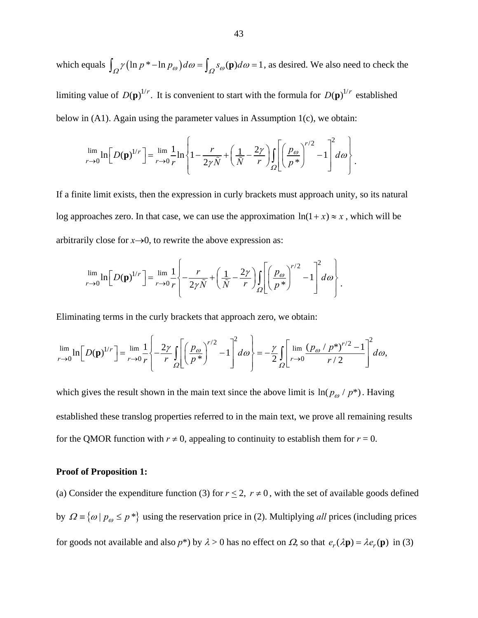which equals  $\int_{\Omega} \gamma (\ln p^* - \ln p_{\omega}) d\omega = \int_{\Omega} s_{\omega}(\mathbf{p}) d\omega = 1$ , as desired. We also need to check the limiting value of  $D(\mathbf{p})^{1/r}$ . It is convenient to start with the formula for  $D(\mathbf{p})^{1/r}$  established below in (A1). Again using the parameter values in Assumption 1(c), we obtain:

$$
\lim_{r \to 0} \ln \left[ D(\mathbf{p})^{1/r} \right] = \lim_{r \to 0} \frac{1}{r} \ln \left\{ 1 - \frac{r}{2\gamma \tilde{N}} + \left( \frac{1}{\tilde{N}} - \frac{2\gamma}{r} \right) \int_{\Omega} \left[ \left( \frac{p_{\omega}}{p^*} \right)^{r/2} - 1 \right]^2 d\omega \right\}.
$$

If a finite limit exists, then the expression in curly brackets must approach unity, so its natural log approaches zero. In that case, we can use the approximation  $ln(1 + x) \approx x$ , which will be arbitrarily close for  $x \rightarrow 0$ , to rewrite the above expression as:

$$
\lim_{r\to 0}\ln\left[D(\mathbf{p})^{1/r}\right] = \lim_{r\to 0}\frac{1}{r}\left\{-\frac{r}{2\gamma\tilde{N}}+\left(\frac{1}{\tilde{N}}-\frac{2\gamma}{r}\right)\int_{\Omega}\left[\left(\frac{p_{\omega}}{p^{*}}\right)^{r/2}-1\right]^{2}d\omega\right\}.
$$

Eliminating terms in the curly brackets that approach zero, we obtain:

$$
\lim_{r\to 0}\ln\left[D(\mathbf{p})^{1/r}\right] = \lim_{r\to 0}\frac{1}{r}\left\{-\frac{2\gamma}{r}\int_{\Omega}\left[\left(\frac{p_{\omega}}{p^*}\right)^{r/2}-1\right]^2d\omega\right\} = -\frac{\gamma}{2}\int_{\Omega}\left[\lim_{r\to 0}\frac{\left(p_{\omega}/p^*\right)^{r/2}-1}{r/2}\right]^2d\omega,
$$

which gives the result shown in the main text since the above limit is  $\ln(p_\omega / p^*)$ . Having established these translog properties referred to in the main text, we prove all remaining results for the QMOR function with  $r \neq 0$ , appealing to continuity to establish them for  $r = 0$ .

#### **Proof of Proposition 1:**

(a) Consider the expenditure function (3) for  $r \le 2$ ,  $r \ne 0$ , with the set of available goods defined by  $\Omega = \{ \omega \mid p_{\omega} \le p^* \}$  using the reservation price in (2). Multiplying *all* prices (including prices for goods not available and also  $p^*$ ) by  $\lambda > 0$  has no effect on  $\Omega$ , so that  $e_r(\lambda \mathbf{p}) = \lambda e_r(\mathbf{p})$  in (3)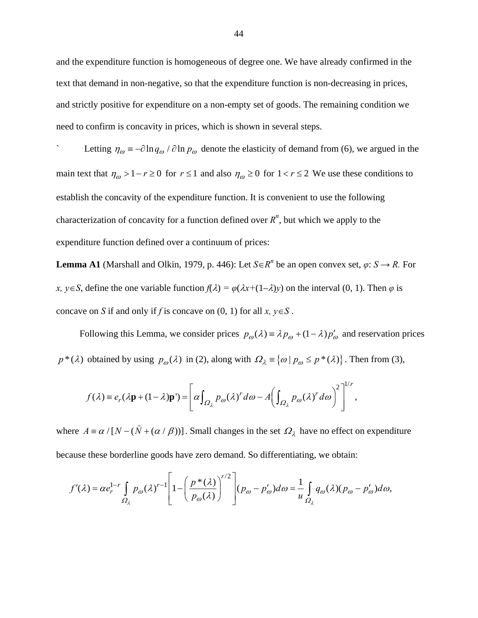and the expenditure function is homogeneous of degree one. We have already confirmed in the text that demand in non-negative, so that the expenditure function is non-decreasing in prices, and strictly positive for expenditure on a non-empty set of goods. The remaining condition we need to confirm is concavity in prices, which is shown in several steps.

Letting  $\eta_{\omega} = -\partial \ln q_{\omega} / \partial \ln p_{\omega}$  denote the elasticity of demand from (6), we argued in the main text that  $\eta_{\omega} > 1 - r \ge 0$  for  $r \le 1$  and also  $\eta_{\omega} \ge 0$  for  $1 < r \le 2$  We use these conditions to establish the concavity of the expenditure function. It is convenient to use the following characterization of concavity for a function defined over  $R<sup>n</sup>$ , but which we apply to the expenditure function defined over a continuum of prices:

**Lemma A1** (Marshall and Olkin, 1979, p. 446): Let  $S \in \mathbb{R}^n$  be an open convex set,  $\varphi: S \to R$ . For *x*,  $y \in S$ , define the one variable function  $f(\lambda) = \varphi(\lambda x + (1-\lambda)y)$  on the interval (0, 1). Then  $\varphi$  is concave on *S* if and only if *f* is concave on  $(0, 1)$  for all  $x, y \in S$ .

Following this Lemma, we consider prices  $p_{\omega}(\lambda) = \lambda p_{\omega} + (1 - \lambda) p_{\omega}'$  and reservation prices  $p^*(\lambda)$  obtained by using  $p_{\omega}(\lambda)$  in (2), along with  $\Omega_{\lambda} = \{ \omega \mid p_{\omega} \leq p^*(\lambda) \}$ . Then from (3),

$$
f(\lambda) \equiv e_r(\lambda \mathbf{p} + (1 - \lambda)\mathbf{p}') = \left[ \alpha \int_{\Omega_\lambda} p_\omega(\lambda)^r d\omega - A \left( \int_{\Omega_\lambda} p_\omega(\lambda)^r d\omega \right)^2 \right]^{1/r},
$$

where  $A = \alpha / [N - (\tilde{N} + (\alpha / \beta))]$ . Small changes in the set  $\Omega_{\lambda}$  have no effect on expenditure because these borderline goods have zero demand. So differentiating, we obtain:

$$
f'(\lambda) = \alpha e_r^{1-r} \int_{\Omega_\lambda} p_\omega(\lambda)^{r-1} \left[ 1 - \left( \frac{p^*(\lambda)}{p_\omega(\lambda)} \right)^{r/2} \right] (p_\omega - p'_\omega) d\omega = \frac{1}{u} \int_{\Omega_\lambda} q_\omega(\lambda) (p_\omega - p'_\omega) d\omega,
$$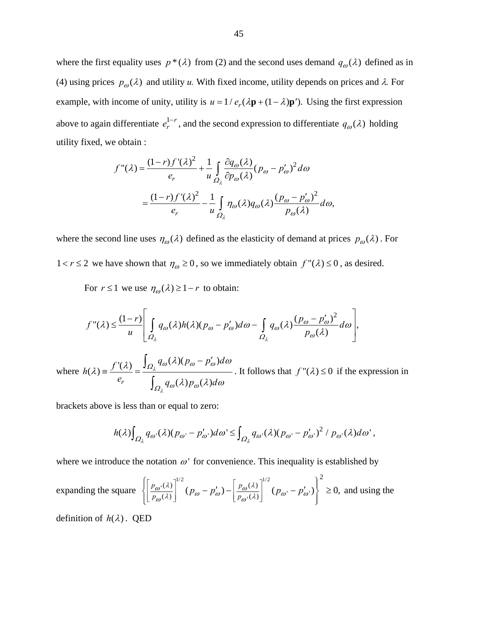where the first equality uses  $p * (\lambda)$  from (2) and the second uses demand  $q_{\omega}(\lambda)$  defined as in (4) using prices  $p_{\omega}(\lambda)$  and utility *u*. With fixed income, utility depends on prices and  $\lambda$ . For example, with income of unity, utility is  $u = 1/e_r(\lambda \mathbf{p} + (1 - \lambda)\mathbf{p}')$ . Using the first expression above to again differentiate  $e_r^{1-r}$ , and the second expression to differentiate  $q_\omega(\lambda)$  holding utility fixed, we obtain :

$$
f''(\lambda) = \frac{(1-r)f'(\lambda)^2}{e_r} + \frac{1}{u} \int_{\Omega_{\lambda}} \frac{\partial q_{\omega}(\lambda)}{\partial p_{\omega}(\lambda)} (p_{\omega} - p_{\omega}')^2 d\omega
$$
  

$$
= \frac{(1-r)f'(\lambda)^2}{e_r} - \frac{1}{u} \int_{\Omega_{\lambda}} \eta_{\omega}(\lambda) q_{\omega}(\lambda) \frac{(p_{\omega} - p_{\omega}')^2}{p_{\omega}(\lambda)} d\omega,
$$

where the second line uses  $\eta_{\omega}(\lambda)$  defined as the elasticity of demand at prices  $p_{\omega}(\lambda)$ . For  $1 < r \le 2$  we have shown that  $\eta_{\omega} \ge 0$ , so we immediately obtain  $f''(\lambda) \le 0$ , as desired.

For  $r \le 1$  we use  $\eta_{\omega}(\lambda) \ge 1 - r$  to obtain:

$$
f''(\lambda) \leq \frac{(1-r)}{u} \left[ \int_{\Omega_{\lambda}} q_{\omega}(\lambda) h(\lambda) (p_{\omega} - p_{\omega}') d\omega - \int_{\Omega_{\lambda}} q_{\omega}(\lambda) \frac{(p_{\omega} - p_{\omega}')^2}{p_{\omega}(\lambda)} d\omega \right],
$$

where  $h(\lambda) = \frac{f'(\lambda)}{\lambda} = \frac{\int_{\Omega_{\lambda}} q_{\omega}(\lambda)(p_{\omega} - p_{\omega}')}{\lambda}$ *r*  $q_{\omega}(\lambda)p_{\omega}(\lambda)$  $h(\lambda) = \frac{f'(\lambda)}{g} = \frac{\int_{\Omega_{\lambda}} q_{\omega}(\lambda)(p_{\omega} - p_{\omega}')d}{g(\lambda)}$  $e_r$   $\int_{\Omega} q_{\theta}(\lambda) p_{\theta}(\lambda) d\lambda$ λ λ  $Q_1$ <sup>q</sup><sub>@</sub>\''\P @ P @  $Q_1$ <sup>9</sup> $\omega$ <sup>0</sup> $P\omega$  $\lambda$  =  $\frac{f'(\lambda)}{f(\lambda)} = \frac{\int_{\Omega_{\lambda}} q_{\omega}(\lambda)(p_{\omega} - p_{\omega}')d\omega}{\int_{\Omega_{\lambda}} f(\lambda) d\lambda}$  $\lambda$ )  $p_{\alpha}(\lambda) d\omega$  $\equiv \frac{f'(\lambda)}{\lambda} = \frac{\int_{\Omega_{\lambda}} q_{\omega}(\lambda)(p_{\omega} - p'_{\omega})}{\lambda}$  $\int$ . It follows that  $f''(\lambda) \le 0$  if the expression in

brackets above is less than or equal to zero:

$$
h(\lambda)\int_{\Omega_{\lambda}}q_{\omega}(\lambda)(p_{\omega}-p'_{\omega})d\omega \leq \int_{\Omega_{\lambda}}q_{\omega}(\lambda)(p_{\omega}-p'_{\omega})^{2}/p_{\omega}(\lambda)d\omega',
$$

where we introduce the notation  $\omega$ <sup>'</sup> for convenience. This inequality is established by

expanding the square 
$$
\left\{ \left[ \frac{p_{\omega}(\lambda)}{p_{\omega}(\lambda)} \right]^{1/2} (p_{\omega} - p_{\omega}') - \left[ \frac{p_{\omega}(\lambda)}{p_{\omega}(\lambda)} \right]^{1/2} (p_{\omega} - p_{\omega}') \right\}^2 \ge 0
$$
, and using the

definition of  $h(\lambda)$ . QED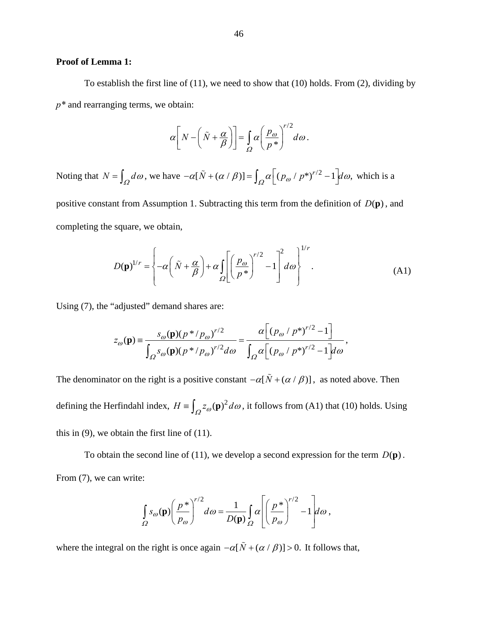## **Proof of Lemma 1:**

To establish the first line of (11), we need to show that (10) holds. From (2), dividing by *p\** and rearranging terms, we obtain:

$$
\alpha \bigg[ N - \bigg( \tilde{N} + \frac{\alpha}{\beta} \bigg) \bigg] = \int_{\Omega} \alpha \bigg( \frac{p_{\omega}}{p^*} \bigg)^{r/2} d\omega.
$$

Noting that  $N = \int_{\Omega} d\omega$ , we have  $-\alpha[\tilde{N} + (\alpha/\beta)] = \int_{\Omega} \alpha[(p_{\omega}/p^{*})^{r/2} - 1] d\omega$ , which is a

positive constant from Assumption 1. Subtracting this term from the definition of  $D(\mathbf{p})$ , and completing the square, we obtain,

$$
D(\mathbf{p})^{1/r} = \left\{-\alpha \left(\tilde{N} + \frac{\alpha}{\beta}\right) + \alpha \int_{\Omega} \left[\left(\frac{p_{\omega}}{p^*}\right)^{r/2} - 1\right]^2 d\omega\right]^{1/r}.
$$
 (A1)

Using (7), the "adjusted" demand shares are:

$$
z_{\omega}(\mathbf{p}) = \frac{s_{\omega}(\mathbf{p})(p * / p_{\omega})^{r/2}}{\int_{\Omega} s_{\omega}(\mathbf{p})(p * / p_{\omega})^{r/2} d\omega} = \frac{\alpha \left[ (p_{\omega} / p^{*})^{r/2} - 1 \right]}{\int_{\Omega} \alpha \left[ (p_{\omega} / p^{*})^{r/2} - 1 \right] d\omega},
$$

The denominator on the right is a positive constant  $-\alpha[\tilde{N} + (\alpha/\beta)]$ , as noted above. Then defining the Herfindahl index,  $H = \int_{Q} z_{\omega}(\mathbf{p})^2 d\omega$ , it follows from (A1) that (10) holds. Using this in  $(9)$ , we obtain the first line of  $(11)$ .

To obtain the second line of (11), we develop a second expression for the term  $D(\mathbf{p})$ . From (7), we can write:

$$
\int_{\Omega} s_{\omega}(\mathbf{p}) \left(\frac{p^*}{p_{\omega}}\right)^{r/2} d\omega = \frac{1}{D(\mathbf{p})} \int_{\Omega} \alpha \left[\left(\frac{p^*}{p_{\omega}}\right)^{r/2} - 1\right] d\omega,
$$

where the integral on the right is once again  $- \alpha [\tilde{N} + (\alpha / \beta)] > 0$ . It follows that,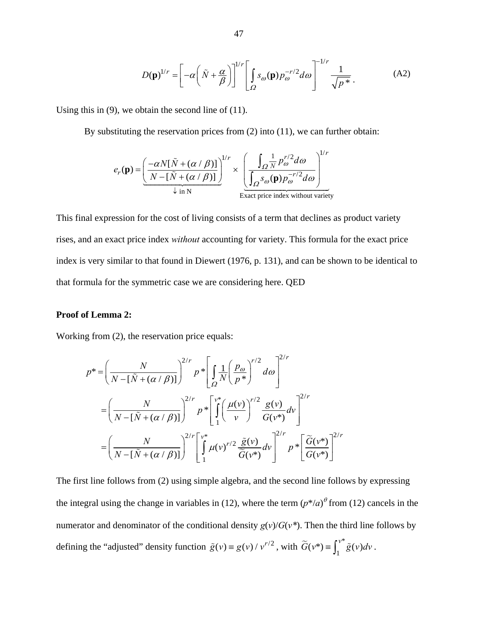$$
D(\mathbf{p})^{1/r} = \left[ -\alpha \left( \tilde{N} + \frac{\alpha}{\beta} \right) \right]^{1/r} \left[ \int_{\Omega} s_{\omega}(\mathbf{p}) p_{\omega}^{-r/2} d\omega \right]^{-1/r} \frac{1}{\sqrt{p^*}}.
$$
 (A2)

Using this in  $(9)$ , we obtain the second line of  $(11)$ .

By substituting the reservation prices from (2) into (11), we can further obtain:

$$
e_r(\mathbf{p}) = \left(\frac{-\alpha N[\tilde{N} + (\alpha/\beta)]}{N - [\tilde{N} + (\alpha/\beta)]}\right)^{1/r} \times \left(\frac{\int_{\Omega} \frac{1}{N} p_{\omega}^{r/2} d\omega}{\int_{\Omega} s_{\omega}(\mathbf{p}) p_{\omega}^{-r/2} d\omega}\right)^{1/r}
$$
  
Exact price index without variety

This final expression for the cost of living consists of a term that declines as product variety rises, and an exact price index *without* accounting for variety. This formula for the exact price index is very similar to that found in Diewert (1976, p. 131), and can be shown to be identical to that formula for the symmetric case we are considering here. QED

# **Proof of Lemma 2:**

Working from (2), the reservation price equals:

$$
p^* = \left(\frac{N}{N - \left[\tilde{N} + (\alpha/\beta)\right]}\right)^{2/r} p^* \left[\int_{\Omega} \frac{1}{N} \left(\frac{p_{\omega}}{p^*}\right)^{r/2} d\omega\right]^{2/r}
$$
  

$$
= \left(\frac{N}{N - \left[\tilde{N} + (\alpha/\beta)\right]}\right)^{2/r} p^* \left[\int_{1}^{v^*} \left(\frac{\mu(v)}{v}\right)^{r/2} \frac{g(v)}{G(v^*)} dv\right]^{2/r}
$$
  

$$
= \left(\frac{N}{N - \left[\tilde{N} + (\alpha/\beta)\right]}\right)^{2/r} \left[\int_{1}^{v^*} \mu(v)^{r/2} \frac{\tilde{g}(v)}{\tilde{G}(v^*)} dv\right]^{2/r} p^* \left[\frac{\tilde{G}(v^*)}{G(v^*)}\right]^{2/r}
$$

The first line follows from (2) using simple algebra, and the second line follows by expressing the integral using the change in variables in (12), where the term  $(p^*/a)^\theta$  from (12) cancels in the numerator and denominator of the conditional density  $g(v)/G(v^*)$ . Then the third line follows by defining the "adjusted" density function  $\tilde{g}(v) = g(v) / v^{r/2}$ , with  $\tilde{G}(v^*) = \int_1^{v^*} \tilde{g}(v) dv$ .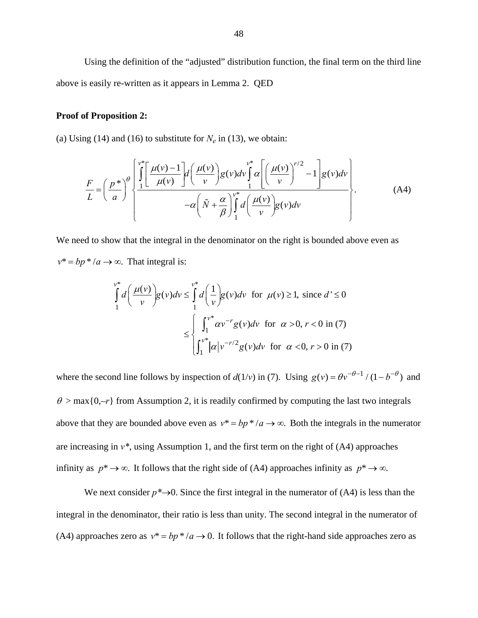Using the definition of the "adjusted" distribution function, the final term on the third line above is easily re-written as it appears in Lemma 2. QED

# **Proof of Proposition 2:**

(a) Using (14) and (16) to substitute for  $N_e$  in (13), we obtain:

$$
\frac{F}{L} = \left(\frac{p^*}{a}\right)^{\theta} \left\{\frac{\int_{1}^{v^*} \left[\frac{\mu(v)-1}{\mu(v)}\right] d\left(\frac{\mu(v)}{v}\right) g(v) dv}{-a\left(\tilde{N}+\frac{\alpha}{\beta}\right) \int_{1}^{v^*} d\left(\frac{\mu(v)}{v}\right) g(v) dv}{-a\left(\tilde{N}+\frac{\alpha}{\beta}\right) \int_{1}^{v^*} d\left(\frac{\mu(v)}{v}\right) g(v) dv}\right\}.
$$
\n(A4)

We need to show that the integral in the denominator on the right is bounded above even as  $v^* = bp^* / a \rightarrow \infty$ . That integral is:

$$
\int_{1}^{v^*} d\left(\frac{\mu(v)}{v}\right) g(v) dv \le \int_{1}^{v^*} d\left(\frac{1}{v}\right) g(v) dv \text{ for } \mu(v) \ge 1, \text{ since } d' \le 0
$$

$$
\le \int_{\int_{1}^{v^*} |\alpha| v^{-r/2} g(v) dv \text{ for } \alpha > 0, r < 0 \text{ in (7)}
$$

where the second line follows by inspection of  $d(1/v)$  in (7). Using  $g(v) = \theta v^{-\theta-1} / (1 - b^{-\theta})$  and  $\theta$  > max{0,–*r*} from Assumption 2, it is readily confirmed by computing the last two integrals above that they are bounded above even as  $v^* = bp^* / a \rightarrow \infty$ . Both the integrals in the numerator are increasing in *v\**, using Assumption 1, and the first term on the right of (A4) approaches infinity as  $p^* \to \infty$ . It follows that the right side of (A4) approaches infinity as  $p^* \to \infty$ .

We next consider  $p^* \rightarrow 0$ . Since the first integral in the numerator of (A4) is less than the integral in the denominator, their ratio is less than unity. The second integral in the numerator of (A4) approaches zero as  $v^* = bp^* / a \rightarrow 0$ . It follows that the right-hand side approaches zero as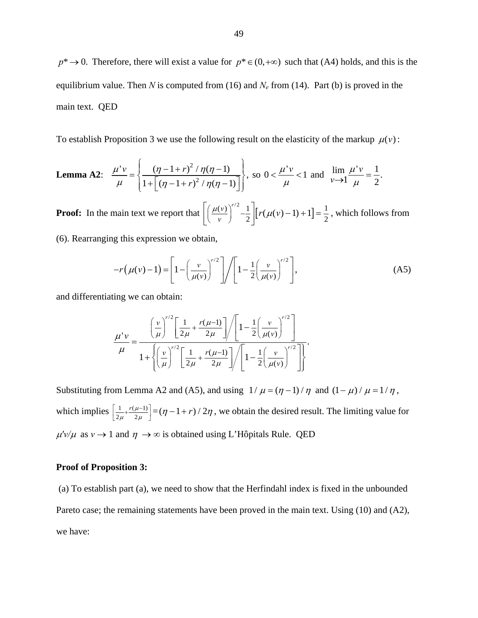$p^* \to 0$ . Therefore, there will exist a value for  $p^* \in (0, +\infty)$  such that (A4) holds, and this is the equilibrium value. Then *N* is computed from (16) and  $N_e$  from (14). Part (b) is proved in the main text. QED

To establish Proposition 3 we use the following result on the elasticity of the markup  $\mu(v)$ :

**Lemma A2:** 
$$
\frac{\mu'v}{\mu} = \left\{ \frac{(\eta - 1 + r)^2 / \eta(\eta - 1)}{1 + \left[ (\eta - 1 + r)^2 / \eta(\eta - 1) \right]} \right\}, \text{ so } 0 < \frac{\mu'v}{\mu} < 1 \text{ and } \lim_{\mathcal{V} \to 1} \frac{\mu'v}{\mu} = \frac{1}{2}.
$$

**Proof:** In the main text we report that  $\left[ \left( \frac{\mu(\nu)}{\nu} \right)^{r/2} - \frac{1}{2} \right] \left[ r(\mu(\nu) - 1) + 1 \right] = \frac{1}{2}$ , which follows from

(6). Rearranging this expression we obtain,

$$
-r(\mu(\nu)-1) = \left[1 - \left(\frac{\nu}{\mu(\nu)}\right)^{r/2}\right] / \left[1 - \frac{1}{2}\left(\frac{\nu}{\mu(\nu)}\right)^{r/2}\right],\tag{A5}
$$

and differentiating we can obtain:

$$
\frac{\mu' \nu}{\mu} = \frac{\left(\frac{\nu}{\mu}\right)^{r/2} \left[\frac{1}{2\mu} + \frac{r(\mu - 1)}{2\mu}\right] \left/ \left[1 - \frac{1}{2} \left(\frac{\nu}{\mu(\nu)}\right)^{r/2}\right]}{1 + \left\{\left(\frac{\nu}{\mu}\right)^{r/2} \left[\frac{1}{2\mu} + \frac{r(\mu - 1)}{2\mu}\right] \right/ \left[1 - \frac{1}{2} \left(\frac{\nu}{\mu(\nu)}\right)^{r/2}\right]\right\}}.
$$

Substituting from Lemma A2 and (A5), and using  $1/\mu = (n-1)/n$  and  $(1-\mu)/\mu = 1/\eta$ , which implies  $\frac{1}{2\mu} + \frac{r(\mu-1)}{2\mu}$  $r(\mu)$  $\left[ \frac{1}{2\mu} + \frac{r(\mu-1)}{2\mu} \right] = (\eta - 1 + r)/2\eta$ , we obtain the desired result. The limiting value for  $\mu'v/\mu$  as  $v \to 1$  and  $\eta \to \infty$  is obtained using L'Hôpitals Rule. QED

#### **Proof of Proposition 3:**

 (a) To establish part (a), we need to show that the Herfindahl index is fixed in the unbounded Pareto case; the remaining statements have been proved in the main text. Using (10) and (A2), we have: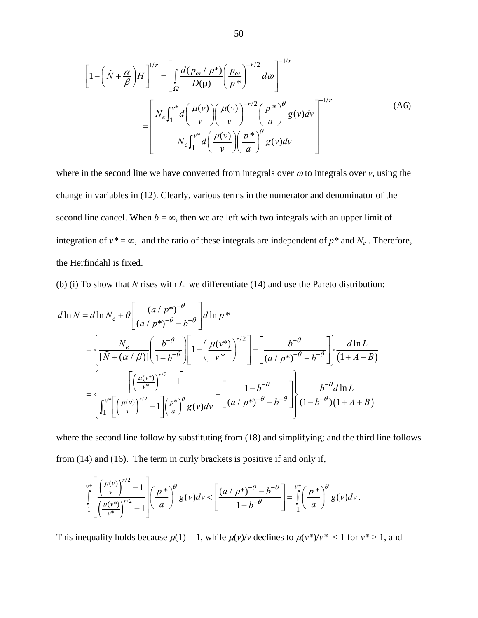$$
\left[1 - \left(\tilde{N} + \frac{\alpha}{\beta}\right)H\right]^{1/r} = \left[\int_{\Omega} \frac{d(p_{\omega} / p^{*})}{D(\mathbf{p})} \left(\frac{p_{\omega}}{p^{*}}\right)^{-r/2} d\omega\right]^{-1/r}
$$

$$
= \left[\frac{N_{e} \int_{1}^{v^{*}} d\left(\frac{\mu(v)}{v}\right) \left(\frac{\mu(v)}{v}\right)^{-r/2} \left(\frac{p^{*}}{a}\right)^{\theta} g(v) dv}{N_{e} \int_{1}^{v^{*}} d\left(\frac{\mu(v)}{v}\right) \left(\frac{p^{*}}{a}\right)^{\theta} g(v) dv}\right]^{-1/r}
$$
(A6)

where in the second line we have converted from integrals over  $\omega$  to integrals over  $\nu$ , using the change in variables in (12). Clearly, various terms in the numerator and denominator of the second line cancel. When  $b = \infty$ , then we are left with two integrals with an upper limit of integration of  $v^* = \infty$ , and the ratio of these integrals are independent of  $p^*$  and  $N_e$ . Therefore, the Herfindahl is fixed.

(b) (i) To show that *N* rises with *L,* we differentiate (14) and use the Pareto distribution:

$$
d \ln N = d \ln N_e + \theta \left[ \frac{(a/p^*)^{-\theta}}{(a/p^*)^{-\theta} - b^{-\theta}} \right] d \ln p^*
$$
  
= 
$$
\left\{ \frac{N_e}{[\tilde{N} + (\alpha/\beta)]} \left( \frac{b^{-\theta}}{1 - b^{-\theta}} \right) \left[ 1 - \left( \frac{\mu(\nu^*)}{\nu^*} \right)^{r/2} \right] - \left[ \frac{b^{-\theta}}{(a/p^*)^{-\theta} - b^{-\theta}} \right] \right\} \frac{d \ln L}{(1 + A + B)}
$$
  
= 
$$
\left\{ \frac{\left[ \left( \frac{\mu(\nu^*)}{\nu^*} \right)^{r/2} - 1 \right]}{\left[ \int_1^{\nu^*} \left[ \left( \frac{\mu(\nu)}{\nu} \right)^{r/2} - 1 \right] \left( \frac{p^*}{a} \right)^\theta g(\nu) d\nu} - \left[ \frac{1 - b^{-\theta}}{(a/p^*)^{-\theta} - b^{-\theta}} \right] \right] \frac{b^{-\theta} d \ln L}{(1 - b^{-\theta})(1 + A + B)}
$$

where the second line follow by substituting from (18) and simplifying; and the third line follows from (14) and (16). The term in curly brackets is positive if and only if,

$$
\int_{1}^{v^*} \left[ \frac{\left(\frac{\mu(v)}{v}\right)^{r/2} - 1}{\left(\frac{\mu(v^*)}{v^*}\right)^{r/2} - 1} \right] \left(\frac{p^*}{a}\right)^{\theta} g(v) dv \leq \left[ \frac{\left(a/p^*\right)^{-\theta} - b^{-\theta}}{1 - b^{-\theta}} \right] = \int_{1}^{v^*} \left(\frac{p^*}{a}\right)^{\theta} g(v) dv.
$$

This inequality holds because  $\mu(1) = 1$ , while  $\mu(v)/v$  declines to  $\mu(v^*)/v^* < 1$  for  $v^* > 1$ , and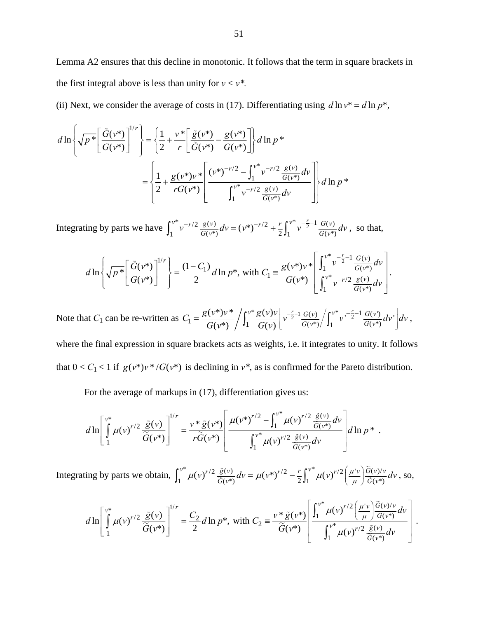Lemma A2 ensures that this decline in monotonic. It follows that the term in square brackets in the first integral above is less than unity for  $v < v^*$ .

(ii) Next, we consider the average of costs in (17). Differentiating using  $d \ln v^* = d \ln p^*$ ,

$$
d\ln\left\{\sqrt{p^*}\left[\frac{\tilde{G}(v^*)}{G(v^*)}\right]^{1/r}\right\} = \left\{\frac{1}{2} + \frac{v^*}{r}\left[\frac{\tilde{g}(v^*)}{\tilde{G}(v^*)} - \frac{g(v^*)}{G(v^*)}\right]\right\} d\ln p^*
$$
  

$$
= \left\{\frac{1}{2} + \frac{g(v^*)v^*}{rG(v^*)}\left[\frac{(v^*)^{-r/2} - \int_1^{v^*} v^{-r/2} \frac{g(v)}{G(v^*)} dv}{\int_1^{v^*} v^{-r/2} \frac{g(v)}{G(v^*)} dv}\right]\right\} d\ln p^*
$$

Integrating by parts we have  $\int_1^{v^*} v^{-r/2} \frac{g(v)}{G(v^*)} dv = (v^*)^{-r/2} + \frac{r}{2} \int_1^{v^*} v^{-\frac{r}{2}-1} \frac{G(v)}{G(v^*)} dv$ , so that,

$$
d\ln\left\{\sqrt{p^*}\left[\frac{\tilde{G}(v^*)}{G(v^*)}\right]^{1/r}\right\} = \frac{(1-C_1)}{2}d\ln p^*,\text{ with } C_1 \equiv \frac{g(v^*)v^*}{G(v^*)}\left[\frac{\int_1^{v^*}v^{-\frac{r}{2}-1}\frac{G(v)}{G(v^*)}dv}{\int_1^{v^*}v^{-r/2}\frac{g(v)}{G(v^*)}dv}\right].
$$

Note that  $C_1$  can be re-written as  $C_1 = \frac{g(v^*)v^*}{G(v^*)} \left/ \int_1^{v^*} \frac{g(v)v}{G(v^*)} \right/ \left( \frac{v^*}{G(v^*)} \right/ \left( \frac{v^*}{G(v^*)} v^{-\frac{r}{2}-1} \frac{G(v)}{G(v^*)} \right)$  $\int_{1}^{V} = \frac{g(v^{*})v^{*}}{G(v^{*})} \bigg/ \int_{1}^{v^{*}} \frac{g(v)v}{G(v)} \bigg[ v^{-\frac{r}{2}-1} \frac{G(v)}{G(v^{*})} \bigg/ \int_{1}^{v^{*}} v^{-\frac{r}{2}-1} \frac{G(v)}{G(v^{*})} \bigg. dv'$  $C_1 = \frac{g(v^*)v^*}{G(v^*)} / \int_1^{v^*} \frac{g(v)v}{G(v)} \left[ v^{-\frac{r}{2}-1} \frac{G(v)}{G(v^*)} / \int_1^{v^*} v^{-\frac{r}{2}-1} \frac{G(v)}{G(v^*)} dv \right] dv$  $G(v^*) \big/ J_1 G(v)$  $\left|v^{-\frac{r}{2}-1}\frac{G(v)}{G(u)}\right| \int v^* v^{-\frac{r}{2}-1} \frac{G(v^*)}{G(u^*)} dv'$  $=\frac{g(v^*)v}{G(v^*)}\bigg/\int_1^v\frac{g(v)v}{G(v)}\bigg[v^{-\frac{r}{2}-1}\frac{G(v)}{G(v^*)}\bigg/\int_1^v v^{-\frac{r}{2}-1}\frac{G(v)}{G(v^*)}dv'\bigg]dv,$ where the final expression in square brackets acts as weights, i.e. it integrates to unity. It follows that  $0 < C_1 < 1$  if  $g(v^*)v^* / G(v^*)$  is declining in  $v^*$ , as is confirmed for the Pareto distribution.

For the average of markups in (17), differentiation gives us:

$$
d\ln\left[\int\limits_{1}^{\nu^*}\mu(\nu)^{r/2}\frac{\tilde{g}(\nu)}{\tilde{G}(\nu^*)}\right]^{1/r}=\frac{\nu^*\tilde{g}(\nu^*)}{r\tilde{G}(\nu^*)}\left[\frac{\mu(\nu^*)^{r/2}-\int_1^{\nu^*}\mu(\nu)^{r/2}\frac{\tilde{g}(\nu)}{\tilde{G}(\nu^*)}d\nu}{\int_1^{\nu^*}\mu(\nu)^{r/2}\frac{\tilde{g}(\nu)}{\tilde{G}(\nu^*)}d\nu}\right]d\ln p^*.
$$

Integrating by parts we obtain,  $\int_1^{v^*} \mu(v)^{r/2} \frac{\tilde{g}(v)}{\tilde{G}(v^*)} dv = \mu(v^*)^{r/2} - \frac{r}{2} \int_1^{v^*} \mu(v)^{r/2} \left(\frac{\mu^2 v}{\mu}\right) \frac{\tilde{G}(v)}{\tilde{G}(v^*)} dv$  $\tilde{G}$  $\int_{1}^{v^*} \mu(v)^{r/2} \frac{\tilde{g}(v)}{\tilde{G}(v^*)} dv = \mu(v^*)^{r/2} - \frac{r}{2} \int_{1}^{v^*} \mu(v)^{r/2} \left(\frac{\mu'v}{\mu}\right) \frac{\tilde{G}(v)/v}{\tilde{G}(v^*)} dv$  $\int_{1}^{v^*} \mu(v)^{r/2} \frac{\tilde{g}(v)}{\tilde{G}(v^*)} dv = \mu(v^*)^{r/2} - \frac{r}{2} \int_{1}^{v^*} \mu(v)^{r/2} \left(\frac{\mu'v}{\mu}\right) \frac{\tilde{G}(v)/v}{\tilde{G}(v^*)} dv$ , so,

$$
d\ln\left[\int\limits_{1}^{\nu^*}\mu(\nu)^{r/2}\frac{\tilde{g}(\nu)}{\widetilde{G}(\nu^*)}\right]^{1/r}=\frac{C_2}{2}d\ln p^*,\text{ with }C_2\equiv\frac{\nu^*\tilde{g}(\nu^*)}{\widetilde{G}(\nu^*)}\left[\frac{\int_1^{\nu^*}\mu(\nu)^{r/2}\left(\frac{\mu^{\nu}}{\mu}\right)\frac{\widetilde{G}(\nu)/\nu}{\widetilde{G}(\nu^*)}d\nu}{\int_1^{\nu^*}\mu(\nu)^{r/2}\frac{\tilde{g}(\nu)}{\widetilde{G}(\nu^*)}d\nu}\right].
$$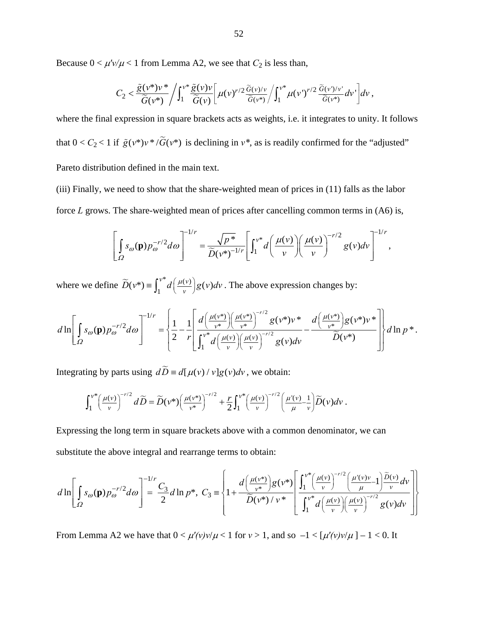Because  $0 < \mu'v/\mu < 1$  from Lemma A2, we see that  $C_2$  is less than,

$$
C_2 < \frac{\tilde{g}(v^*)v^*}{\tilde{G}(v^*)} / \int_1^{v^*} \frac{\tilde{g}(v)v}{\tilde{G}(v)} \bigg[ \mu(v)^{r/2} \frac{\tilde{G}(v)/v}{\tilde{G}(v^*)} / \int_1^{v^*} \mu(v')^{r/2} \frac{\tilde{G}(v')/v'}{\tilde{G}(v^*)} dv' \bigg] dv ,
$$

where the final expression in square brackets acts as weights, i.e. it integrates to unity. It follows that  $0 < C_2 < 1$  if  $\tilde{g}(v^*)v^* / \tilde{G}(v^*)$  is declining in  $v^*$ , as is readily confirmed for the "adjusted" Pareto distribution defined in the main text.

(iii) Finally, we need to show that the share-weighted mean of prices in (11) falls as the labor force *L* grows. The share-weighted mean of prices after cancelling common terms in (A6) is,

$$
\left[\int_{\Omega} s_{\omega}(\mathbf{p}) p_{\omega}^{-r/2} d\omega\right]^{-1/r} = \frac{\sqrt{p^*}}{\widetilde{D}(v^*)^{-1/r}} \left[\int_1^{v^*} d\left(\frac{\mu(v)}{v}\right) \left(\frac{\mu(v)}{v}\right)^{-r/2} g(v) dv\right]^{-1/r},
$$

where we define  $\widetilde{D}(v^*) \equiv \int_1^{v^*} d\left(\frac{\mu(v)}{v}\right) g(v) dv$ . The above expression changes by:

$$
d\ln\left[\int_{\Omega} s_{\omega}(\mathbf{p}) p_{\omega}^{-r/2} d\omega\right]^{-1/r} = \left\{\frac{1}{2} - \frac{1}{r} \left[ \frac{d\left(\frac{\mu(\mathbf{v}^*)}{\mathbf{v}^*}\right) \left(\frac{\mu(\mathbf{v}^*)}{\mathbf{v}^*}\right)^{-r/2} g(\mathbf{v}^*) \mathbf{v}^*}{\int_{1}^{\mathbf{v}^*} d\left(\frac{\mu(\mathbf{v})}{\mathbf{v}}\right) \left(\frac{\mu(\mathbf{v})}{\mathbf{v}}\right)^{-r/2} g(\mathbf{v}) d\mathbf{v}} - \frac{d\left(\frac{\mu(\mathbf{v}^*)}{\mathbf{v}^*}\right) g(\mathbf{v}^*) \mathbf{v}^*}{\widetilde{D}(\mathbf{v}^*)}\right]\right\} d\ln p^*.
$$

Integrating by parts using  $d\widetilde{D} = d[\mu(v)/v]g(v)dv$ , we obtain:

$$
\int_1^{\nu^*} \left(\frac{\mu(\nu)}{\nu}\right)^{-r/2} d\widetilde{D} = \widetilde{D}(\nu^*) \left(\frac{\mu(\nu^*)}{\nu^*}\right)^{-r/2} + \frac{r}{2} \int_1^{\nu^*} \left(\frac{\mu(\nu)}{\nu}\right)^{-r/2} \left(\frac{\mu'(\nu)}{\mu} - \frac{1}{\nu}\right) \widetilde{D}(\nu) d\nu.
$$

Expressing the long term in square brackets above with a common denominator, we can substitute the above integral and rearrange terms to obtain:

$$
d\ln\left[\int_{\Omega} s_{\omega}(\mathbf{p})p_{\omega}^{-r/2}d\omega\right] = \frac{C_3}{2}d\ln p^*,\ C_3 = \left\{1 + \frac{d\left(\frac{\mu(\nu^*)}{\nu^*}\right)g(\nu^*)}{\widetilde{D}(\nu^*)/\nu^*}\right\} \frac{\int_1^{\nu^*}\left(\frac{\mu(\nu)}{\nu}\right)^{-r/2}\left(\frac{\mu'(\nu)\nu}{\mu}-1\right)\frac{\widetilde{D}(\nu)}{\nu}d\nu}{\int_1^{\nu^*}d\left(\frac{\mu(\nu)}{\nu}\right)\left(\frac{\mu(\nu)}{\nu}\right)^{-r/2}g(\nu)d\nu}\right\}
$$

From Lemma A2 we have that  $0 < \mu'(v)v/\mu < 1$  for  $v > 1$ , and so  $-1 < [\mu'(v)v/\mu] - 1 < 0$ . It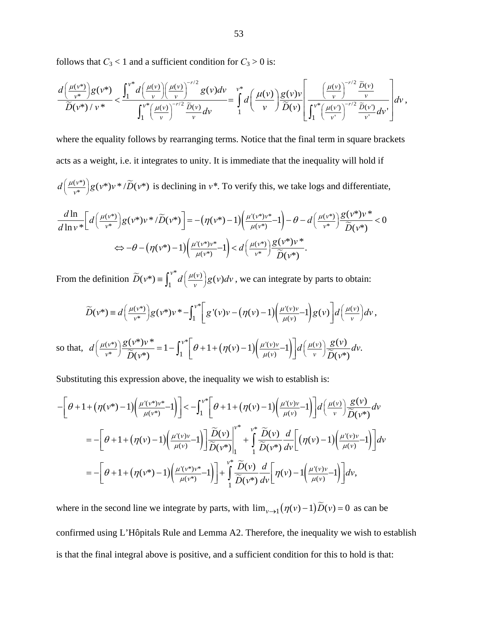follows that  $C_3 < 1$  and a sufficient condition for  $C_3 > 0$  is:

$$
\frac{d\left(\frac{\mu(v^*)}{v^*}\right)g(v^*)}{\widetilde{D}(v^*)/v^*} < \frac{\int_1^{v^*}d\left(\frac{\mu(v)}{v}\right)\left(\frac{\mu(v)}{v}\right)^{-r/2}g(v)dv}{\int_1^{v^*}\left(\frac{\mu(v)}{v}\right)^{-r/2}\frac{\widetilde{D}(v)}{v}dv} = \int_1^{v^*}d\left(\frac{\mu(v)}{v}\right)\frac{g(v)v}{\widetilde{D}(v)}\left[\frac{\left(\frac{\mu(v)}{v}\right)^{-r/2}\frac{\widetilde{D}(v)}{v}}{\int_1^{v^*}\left(\frac{\mu(v)}{v}\right)^{-r/2}\frac{\widetilde{D}(v)}{v}dv}\right]dv,
$$

where the equality follows by rearranging terms. Notice that the final term in square brackets acts as a weight, i.e. it integrates to unity. It is immediate that the inequality will hold if  $d\left(\frac{\mu(\nu^*)}{\nu^*}\right)g(\nu^*)\nu^*/\widetilde{D}(\nu^*)$  is declining in  $\nu^*$ . To verify this, we take logs and differentiate,

$$
\frac{d\ln}{d\ln v^*} \left[ d\left(\frac{\mu(v^*)}{v^*}\right) g(v^*) v^* / \widetilde{D}(v^*) \right] = -\left(\eta(v^*) - 1\right) \left(\frac{\mu'(v^*) v^*}{\mu(v^*)} - 1\right) - \theta - d\left(\frac{\mu(v^*)}{v^*}\right) \frac{g(v^*) v^*}{\widetilde{D}(v^*)} < 0
$$
  

$$
\Leftrightarrow -\theta - \left(\eta(v^*) - 1\right) \left(\frac{\mu'(v^*) v^*}{\mu(v^*)} - 1\right) < d\left(\frac{\mu(v^*)}{v^*}\right) \frac{g(v^*) v^*}{\widetilde{D}(v^*)}.
$$

From the definition  $\widetilde{D}(v^*) \equiv \int_1^{v^*} d\left(\frac{\mu(v)}{v}\right) g(v) dv$ , we can integrate by parts to obtain:

$$
\widetilde{D}(v^*) \equiv d\left(\frac{\mu(v^*)}{v^*}\right)g(v^*)v^* - \int_1^{v^*} \left[g'(v)v - \left(\eta(v) - 1\right)\left(\frac{\mu'(v)v}{\mu(v)} - 1\right)g(v)\right]d\left(\frac{\mu(v)}{v}\right)dv,
$$
\n
$$
\text{so that, } d\left(\frac{\mu(v^*)}{v^*}\right)\frac{g(v^*)v^*}{\widetilde{D}(v^*)} = 1 - \int_1^{v^*} \left[\theta + 1 + \left(\eta(v) - 1\right)\left(\frac{\mu'(v)v}{\mu(v)} - 1\right)\right]d\left(\frac{\mu(v)}{v}\right)\frac{g(v)}{\widetilde{D}(v^*)}dv.
$$

Substituting this expression above, the inequality we wish to establish is:

$$
-\left[\theta+1+\left(\eta(\nu^*)-1\right)\left(\frac{\mu'(\nu^*)\nu^*}{\mu(\nu^*)}-1\right)\right] < -\int_1^{\nu^*}\left[\theta+1+\left(\eta(\nu)-1\right)\left(\frac{\mu'(\nu)\nu}{\mu(\nu)}-1\right)\right]d\left(\frac{\mu(\nu)}{\nu}\right)\frac{g(\nu)}{\widetilde{D}(\nu^*)}d\nu
$$
  

$$
=-\left[\theta+1+\left(\eta(\nu)-1\right)\left(\frac{\mu'(\nu)\nu}{\mu(\nu)}-1\right)\right]\frac{\widetilde{D}(\nu)}{\widetilde{D}(\nu^*)}\Big|_1^{\nu^*}+\int_1^{\nu^*}\frac{\widetilde{D}(\nu)}{\widetilde{D}(\nu^*)}\frac{d}{d\nu}\left[\left(\eta(\nu)-1\right)\left(\frac{\mu'(\nu)\nu}{\mu(\nu)}-1\right)\right]d\nu
$$
  

$$
=-\left[\theta+1+\left(\eta(\nu^*)-1\right)\left(\frac{\mu'(\nu^*)\nu^*}{\mu(\nu^*)}-1\right)\right]+\int_1^{\nu^*}\frac{\widetilde{D}(\nu)}{\widetilde{D}(\nu^*)}\frac{d}{d\nu}\left[\eta(\nu)-1\left(\frac{\mu'(\nu)\nu}{\mu(\nu)}-1\right)\right]d\nu,
$$

where in the second line we integrate by parts, with  $\lim_{v\to 1} (\eta(v) - 1) \widetilde{D}(v) = 0$  as can be confirmed using L'Hôpitals Rule and Lemma A2. Therefore, the inequality we wish to establish is that the final integral above is positive, and a sufficient condition for this to hold is that: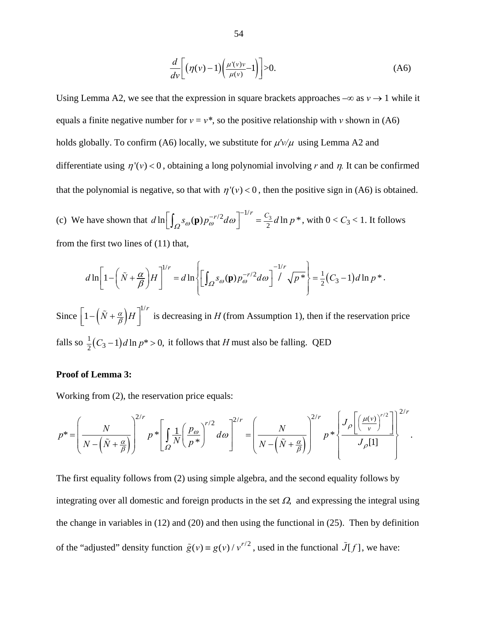$$
\frac{d}{dv}\left[\left(\eta(v)-1\right)\left(\frac{\mu'(v)v}{\mu(v)}-1\right)\right]>0.\tag{A6}
$$

Using Lemma A2, we see that the expression in square brackets approaches  $-\infty$  as  $v \to 1$  while it equals a finite negative number for  $v = v^*$ , so the positive relationship with *v* shown in (A6) holds globally. To confirm (A6) locally, we substitute for  $\mu' \nu / \mu$  using Lemma A2 and differentiate using  $\eta'(v) < 0$ , obtaining a long polynomial involving r and  $\eta$ . It can be confirmed that the polynomial is negative, so that with  $\eta'(v) < 0$ , then the positive sign in (A6) is obtained.

(c) We have shown that  $d \ln \left[ \int_{\Omega} s_{\omega}(\mathbf{p}) p_{\omega}^{-r/2} d\omega \right]^{-1/r} = \frac{C_3}{2} d \ln p^*$ , with  $0 < C_3 < 1$ . It follows from the first two lines of (11) that,

$$
d\ln\left[1-\left(\tilde{N}+\frac{\alpha}{\beta}\right)H\right]^{1/r}=d\ln\left\{\left[\int_{\Omega}S_{\omega}(\mathbf{p})p_{\omega}^{-r/2}d\omega\right]^{-1/r}\sqrt{p^*}\right\}=\frac{1}{2}(C_3-1)d\ln p^*.
$$

Since  $\left[1 - \left(\tilde{N} + \frac{\alpha}{\beta}\right)H\right]^{1/r}$  is decreasing in *H* (from Assumption 1), then if the reservation price falls so  $\frac{1}{2}(C_3 - 1)d\ln p^* > 0$ , it follows that *H* must also be falling. QED

# **Proof of Lemma 3:**

Working from (2), the reservation price equals:

$$
p^* = \left(\frac{N}{N-\left(\tilde{N}+\frac{\alpha}{\beta}\right)}\right)^{2/r} p^* \left[\int_{\Omega} \frac{1}{N} \left(\frac{p_{\omega}}{p^*}\right)^{r/2} d\omega\right]^{2/r} = \left(\frac{N}{N-\left(\tilde{N}+\frac{\alpha}{\beta}\right)}\right)^{2/r} p^* \left\{\frac{J_{\rho}\left[\left(\frac{\mu(\nu)}{\nu}\right)^{r/2}\right]}{J_{\rho}[1]}\right\}^{2/r}.
$$

The first equality follows from (2) using simple algebra, and the second equality follows by integrating over all domestic and foreign products in the set  $\Omega$ , and expressing the integral using the change in variables in (12) and (20) and then using the functional in (25). Then by definition of the "adjusted" density function  $\tilde{g}(v) = g(v) / v^{r/2}$ , used in the functional  $\tilde{J}[f]$ , we have: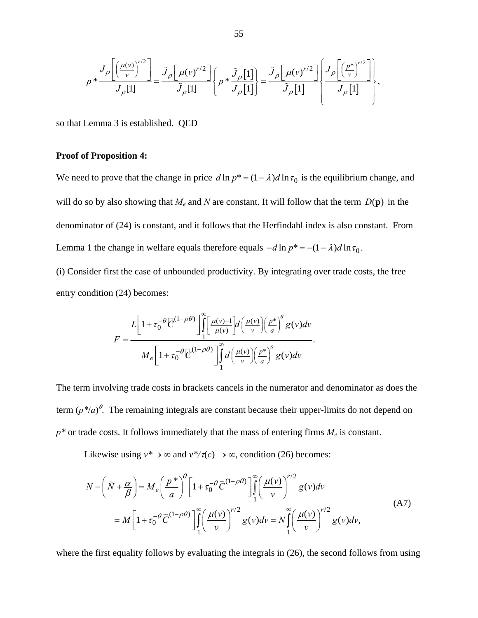$$
p * \frac{J_{\rho}\left[\left(\frac{\mu(v)}{v}\right)^{r/2}\right]}{J_{\rho}[1]} = \frac{\tilde{J}_{\rho}\left[\mu(v)^{r/2}\right]}{\tilde{J}_{\rho}[1]} \left\{ p * \frac{\tilde{J}_{\rho}[1]}{J_{\rho}[1]} \right\} = \frac{\tilde{J}_{\rho}\left[\mu(v)^{r/2}\right]}{\tilde{J}_{\rho}[1]} \left\{ \frac{J_{\rho}\left[\left(\frac{p^{*}}{v}\right)^{r/2}\right]}{J_{\rho}[1]} \right\},\,
$$

so that Lemma 3 is established. QED

# **Proof of Proposition 4:**

We need to prove that the change in price  $d \ln p^* = (1 - \lambda) d \ln \tau_0$  is the equilibrium change, and will do so by also showing that  $M_e$  and  $N$  are constant. It will follow that the term  $D(\mathbf{p})$  in the denominator of (24) is constant, and it follows that the Herfindahl index is also constant. From Lemma 1 the change in welfare equals therefore equals  $-d \ln p^* = -(1 - \lambda) d \ln \tau_0$ .

(i) Consider first the case of unbounded productivity. By integrating over trade costs, the free entry condition (24) becomes:

$$
F = \frac{L\left[1+\tau_0^{-\theta}\overline{\mathcal{C}}^{(1-\rho\theta)}\right] \int_1^{\infty} \left[\frac{\mu(v)-1}{\mu(v)}\right] d\left(\frac{\mu(v)}{v}\right) \left(\frac{p^*}{a}\right)^{\theta} g(v) dv}{M_e\left[1+\tau_0^{-\theta}\overline{\mathcal{C}}^{(1-\rho\theta)}\right] \int_1^{\infty} d\left(\frac{\mu(v)}{v}\right) \left(\frac{p^*}{a}\right)^{\theta} g(v) dv}.
$$

The term involving trade costs in brackets cancels in the numerator and denominator as does the term  $(p^*/a)$ <sup> $\theta$ </sup>. The remaining integrals are constant because their upper-limits do not depend on  $p^*$  or trade costs. It follows immediately that the mass of entering firms  $M_e$  is constant.

Likewise using  $v^* \rightarrow \infty$  and  $v^*/\tau(c) \rightarrow \infty$ , condition (26) becomes:

$$
N - \left(\tilde{N} + \frac{\alpha}{\beta}\right) = M_e \left(\frac{p^*}{a}\right)^{\theta} \left[1 + \tau_0^{-\theta} \tilde{C}^{(1-\rho\theta)}\right] \int_1^{\infty} \left(\frac{\mu(v)}{v}\right)^{r/2} g(v) dv
$$
  
= 
$$
M \left[1 + \tau_0^{-\theta} \tilde{C}^{(1-\rho\theta)}\right] \int_1^{\infty} \left(\frac{\mu(v)}{v}\right)^{r/2} g(v) dv = N \int_1^{\infty} \left(\frac{\mu(v)}{v}\right)^{r/2} g(v) dv,
$$
 (A7)

where the first equality follows by evaluating the integrals in  $(26)$ , the second follows from using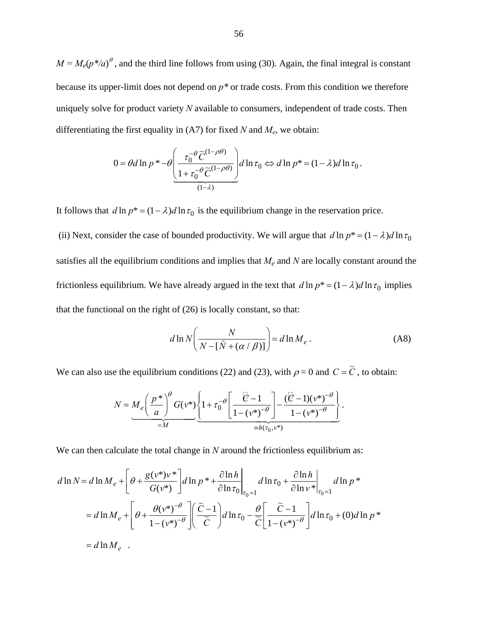$M = M_e(p^*/a)^\theta$ , and the third line follows from using (30). Again, the final integral is constant because its upper-limit does not depend on *p\** or trade costs. From this condition we therefore uniquely solve for product variety *N* available to consumers, independent of trade costs. Then differentiating the first equality in  $(A7)$  for fixed *N* and  $M_e$ , we obtain:

$$
0 = \theta d \ln p * -\theta \left( \frac{\tau_0^{-\theta} \widetilde{C}^{(1-\rho\theta)}}{1 + \tau_0^{-\theta} \widetilde{C}^{(1-\rho\theta)}} \right) d \ln \tau_0 \Leftrightarrow d \ln p * = (1 - \lambda) d \ln \tau_0
$$

It follows that  $d \ln p^* = (1 - \lambda) d \ln \tau_0$  is the equilibrium change in the reservation price.

(ii) Next, consider the case of bounded productivity. We will argue that  $d \ln p^* = (1 - \lambda) d \ln \tau_0$ satisfies all the equilibrium conditions and implies that  $M_e$  and  $N$  are locally constant around the frictionless equilibrium. We have already argued in the text that  $d \ln p^* = (1 - \lambda) d \ln \tau_0$  implies that the functional on the right of (26) is locally constant, so that:

$$
d \ln N \left( \frac{N}{N - [\tilde{N} + (\alpha / \beta)]} \right) = d \ln M_e \,. \tag{A8}
$$

.

We can also use the equilibrium conditions (22) and (23), with  $\rho = 0$  and  $C = \tilde{C}$ , to obtain:

$$
N = M_e \left( \frac{p^*}{a} \right)^{\theta} G(v^*) \left\{ 1 + \tau_0^{-\theta} \left[ \frac{\overline{\mathcal{C}} - 1}{1 - (v^*)^{-\theta}} \right] - \frac{(\overline{\mathcal{C}} - 1)(v^*)^{-\theta}}{1 - (v^*)^{-\theta}} \right\}.
$$

We can then calculate the total change in *N* around the frictionless equilibrium as:

$$
d\ln N = d\ln M_e + \left[\theta + \frac{g(v^*)v^*}{G(v^*)}\right] d\ln p^* + \frac{\partial \ln h}{\partial \ln \tau_0}\Big|_{\tau_0 = 1} d\ln \tau_0 + \frac{\partial \ln h}{\partial \ln v^*}\Big|_{\tau_0 = 1} d\ln p^*
$$
  
=  $d\ln M_e + \left[\theta + \frac{\theta(v^*)^{-\theta}}{1 - (v^*)^{-\theta}}\right] \left(\frac{\tilde{C} - 1}{\tilde{C}}\right) d\ln \tau_0 - \frac{\theta}{\tilde{C}} \left[\frac{\tilde{C} - 1}{1 - (v^*)^{-\theta}}\right] d\ln \tau_0 + (0) d\ln p^*$   
=  $d\ln M_e$ .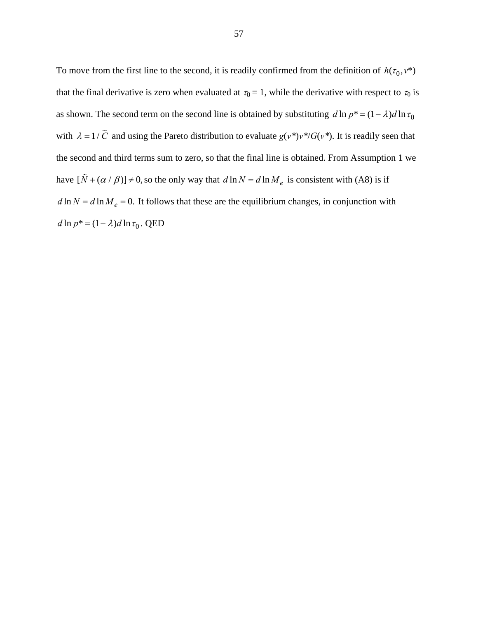To move from the first line to the second, it is readily confirmed from the definition of  $h(\tau_0, v^*)$ that the final derivative is zero when evaluated at  $\tau_0 = 1$ , while the derivative with respect to  $\tau_0$  is as shown. The second term on the second line is obtained by substituting  $d \ln p^* = (1 - \lambda) d \ln \tau_0$ with  $\lambda = 1/\tilde{C}$  and using the Pareto distribution to evaluate  $g(v^*)v^*/G(v^*)$ . It is readily seen that the second and third terms sum to zero, so that the final line is obtained. From Assumption 1 we have  $[\tilde{N} + (\alpha / \beta)] \neq 0$ , so the only way that  $d \ln N = d \ln M_e$  is consistent with (A8) is if  $d \ln N = d \ln M_e = 0$ . It follows that these are the equilibrium changes, in conjunction with  $d \ln p^* = (1 - \lambda) d \ln \tau_0$ . QED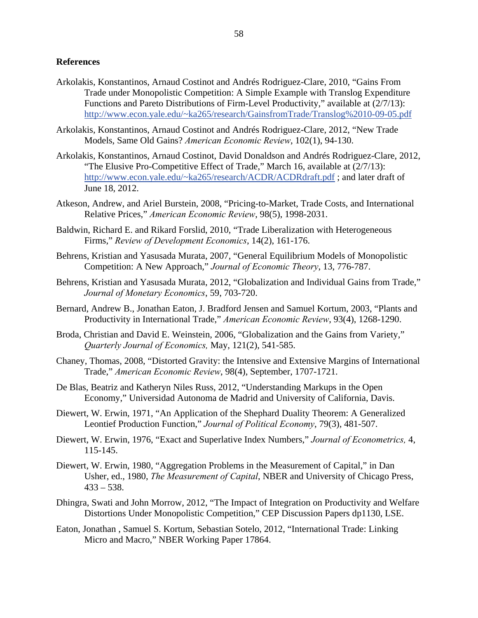## **References**

- Arkolakis, Konstantinos, Arnaud Costinot and Andrés Rodriguez-Clare, 2010, "Gains From Trade under Monopolistic Competition: A Simple Example with Translog Expenditure Functions and Pareto Distributions of Firm-Level Productivity," available at (2/7/13): http://www.econ.yale.edu/~ka265/research/GainsfromTrade/Translog%2010-09-05.pdf
- Arkolakis, Konstantinos, Arnaud Costinot and Andrés Rodriguez-Clare, 2012, "New Trade Models, Same Old Gains? *American Economic Review*, 102(1), 94-130.
- Arkolakis, Konstantinos, Arnaud Costinot, David Donaldson and Andrés Rodriguez-Clare, 2012, "The Elusive Pro-Competitive Effect of Trade," March 16, available at (2/7/13): http://www.econ.yale.edu/~ka265/research/ACDR/ACDRdraft.pdf ; and later draft of June 18, 2012.
- Atkeson, Andrew, and Ariel Burstein, 2008, "Pricing-to-Market, Trade Costs, and International Relative Prices," *American Economic Review*, 98(5), 1998-2031.
- Baldwin, Richard E. and Rikard Forslid, 2010, "Trade Liberalization with Heterogeneous Firms," *Review of Development Economics*, 14(2), 161-176.
- Behrens, Kristian and Yasusada Murata, 2007, "General Equilibrium Models of Monopolistic Competition: A New Approach," *Journal of Economic Theory*, 13, 776-787.
- Behrens, Kristian and Yasusada Murata, 2012, "Globalization and Individual Gains from Trade," *Journal of Monetary Economics*, 59, 703-720.
- Bernard, Andrew B., Jonathan Eaton, J. Bradford Jensen and Samuel Kortum, 2003, "Plants and Productivity in International Trade," *American Economic Review*, 93(4), 1268-1290.
- Broda, Christian and David E. Weinstein, 2006, "Globalization and the Gains from Variety," *Quarterly Journal of Economics,* May, 121(2), 541-585.
- Chaney, Thomas, 2008, "Distorted Gravity: the Intensive and Extensive Margins of International Trade," *American Economic Review*, 98(4), September, 1707-1721.
- De Blas, Beatriz and Katheryn Niles Russ, 2012, "Understanding Markups in the Open Economy," Universidad Autonoma de Madrid and University of California, Davis.
- Diewert, W. Erwin, 1971, "An Application of the Shephard Duality Theorem: A Generalized Leontief Production Function," *Journal of Political Economy*, 79(3), 481-507.
- Diewert, W. Erwin, 1976, "Exact and Superlative Index Numbers," *Journal of Econometrics,* 4, 115-145.
- Diewert, W. Erwin, 1980, "Aggregation Problems in the Measurement of Capital," in Dan Usher, ed., 1980, *The Measurement of Capital*, NBER and University of Chicago Press,  $433 - 538$ .
- Dhingra, Swati and John Morrow, 2012, "The Impact of Integration on Productivity and Welfare Distortions Under Monopolistic Competition," CEP Discussion Papers dp1130, LSE.
- Eaton, Jonathan , Samuel S. Kortum, Sebastian Sotelo, 2012, "International Trade: Linking Micro and Macro," NBER Working Paper 17864.